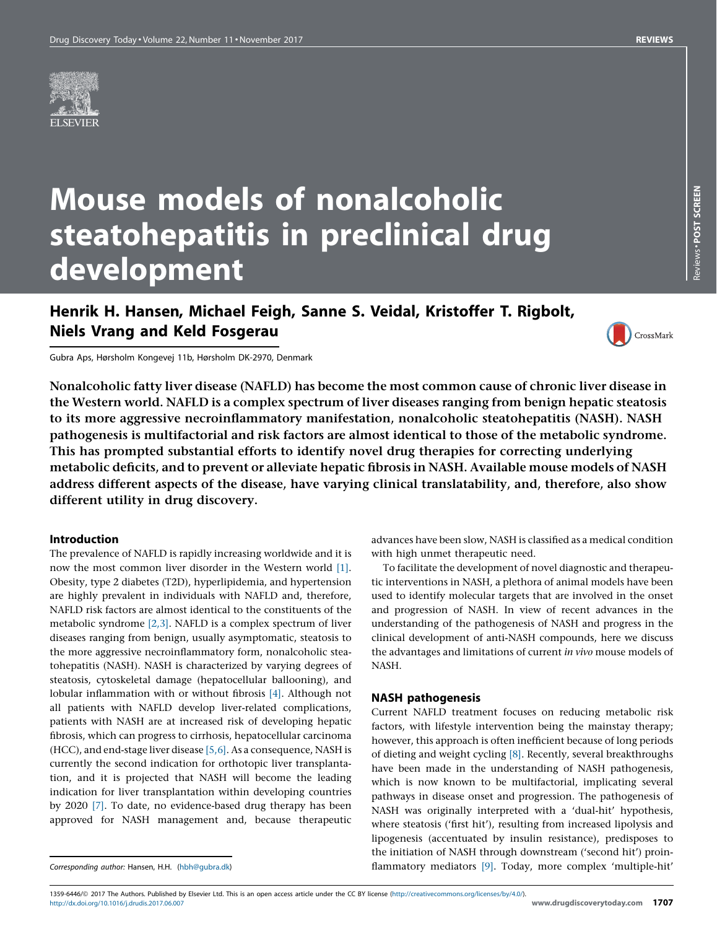# Mouse models of nonalcoholic steatohepatitis in preclinical drug development

## Henrik H. Hansen, Michael Feigh, Sanne S. Veidal, Kristoffer T. Rigbolt, Niels Vrang and Keld Fosgerau



Gubra Aps, Hørsholm Kongevej 11b, Hørsholm DK-2970, Denmark

Nonalcoholic fatty liver disease (NAFLD) has become the most common cause of chronic liver disease in the Western world. NAFLD is a complex spectrum of liver diseases ranging from benign hepatic steatosis to its more aggressive necroinflammatory manifestation, nonalcoholic steatohepatitis (NASH). NASH pathogenesis is multifactorial and risk factors are almost identical to those of the metabolic syndrome. This has prompted substantial efforts to identify novel drug therapies for correcting underlying metabolic deficits, and to prevent or alleviate hepatic fibrosis in NASH. Available mouse models of NASH address different aspects of the disease, have varying clinical translatability, and, therefore, also show different utility in drug discovery.

### Introduction

The prevalence of NAFLD is rapidly increasing worldwide and it is now the most common liver disorder in the Western world [\[1\].](#page-9-0) Obesity, type 2 diabetes (T2D), hyperlipidemia, and hypertension are highly prevalent in individuals with NAFLD and, therefore, NAFLD risk factors are almost identical to the constituents of the metabolic syndrome [\[2,3\]](#page-9-0). NAFLD is a complex spectrum of liver diseases ranging from benign, usually asymptomatic, steatosis to the more aggressive necroinflammatory form, nonalcoholic steatohepatitis (NASH). NASH is characterized by varying degrees of steatosis, cytoskeletal damage (hepatocellular ballooning), and lobular inflammation with or without fibrosis [\[4\]](#page-9-0). Although not all patients with NAFLD develop liver-related complications, patients with NASH are at increased risk of developing hepatic fibrosis, which can progress to cirrhosis, hepatocellular carcinoma (HCC), and end-stage liver disease [\[5,6\]](#page-9-0). As a consequence, NASH is currently the second indication for orthotopic liver transplantation, and it is projected that NASH will become the leading indication for liver transplantation within developing countries by 2020 [\[7\]](#page-9-0). To date, no evidence-based drug therapy has been approved for NASH management and, because therapeutic advances have been slow, NASH is classified as a medical condition with high unmet therapeutic need.

To facilitate the development of novel diagnostic and therapeutic interventions in NASH, a plethora of animal models have been used to identify molecular targets that are involved in the onset and progression of NASH. In view of recent advances in the understanding of the pathogenesis of NASH and progress in the clinical development of anti-NASH compounds, here we discuss the advantages and limitations of current in vivo mouse models of NASH.

### NASH pathogenesis

Current NAFLD treatment focuses on reducing metabolic risk factors, with lifestyle intervention being the mainstay therapy; however, this approach is often inefficient because of long periods of dieting and weight cycling [\[8\].](#page-9-0) Recently, several breakthroughs have been made in the understanding of NASH pathogenesis, which is now known to be multifactorial, implicating several pathways in disease onset and progression. The pathogenesis of NASH was originally interpreted with a 'dual-hit' hypothesis, where steatosis ('first hit'), resulting from increased lipolysis and lipogenesis (accentuated by insulin resistance), predisposes to the initiation of NASH through downstream ('second hit') proinflammatory mediators [\[9\].](#page-9-0) Today, more complex 'multiple-hit'

Corresponding author: Hansen, H.H. [\(hbh@gubra.dk](mailto:hbh@gubra.dk))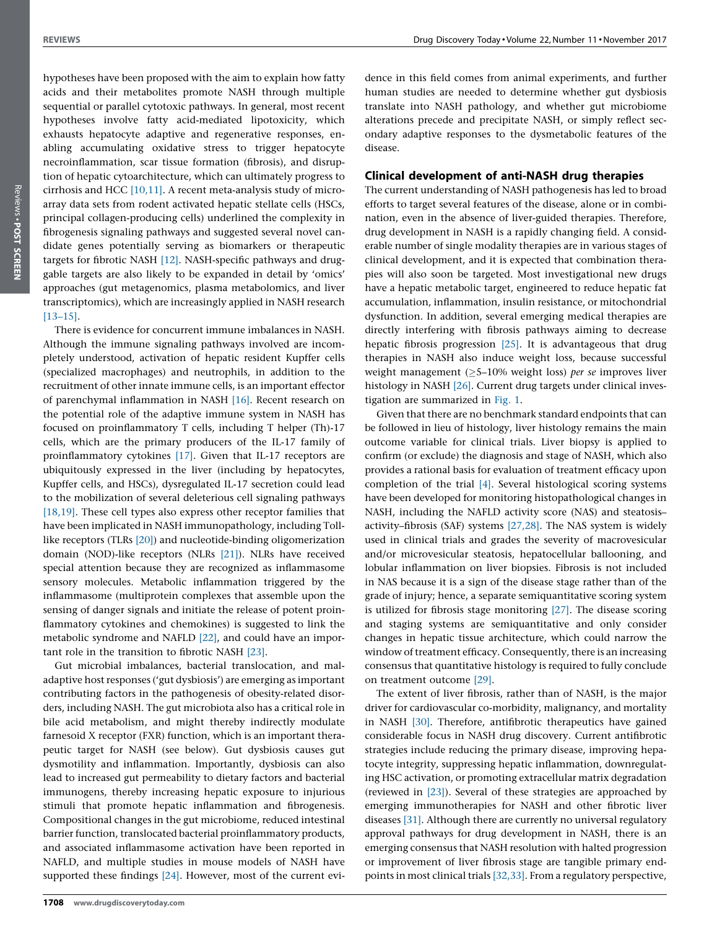hypotheses have been proposed with the aim to explain how fatty acids and their metabolites promote NASH through multiple sequential or parallel cytotoxic pathways. In general, most recent hypotheses involve fatty acid-mediated lipotoxicity, which exhausts hepatocyte adaptive and regenerative responses, enabling accumulating oxidative stress to trigger hepatocyte necroinflammation, scar tissue formation (fibrosis), and disruption of hepatic cytoarchitecture, which can ultimately progress to cirrhosis and HCC [\[10,11\]](#page-9-0). A recent meta-analysis study of microarray data sets from rodent activated hepatic stellate cells (HSCs, principal collagen-producing cells) underlined the complexity in fibrogenesis signaling pathways and suggested several novel candidate genes potentially serving as biomarkers or therapeutic targets for fibrotic NASH [\[12\].](#page-9-0) NASH-specific pathways and druggable targets are also likely to be expanded in detail by 'omics' approaches (gut metagenomics, plasma metabolomics, and liver transcriptomics), which are increasingly applied in NASH research [\[13–15\]](#page-9-0).

There is evidence for concurrent immune imbalances in NASH. Although the immune signaling pathways involved are incompletely understood, activation of hepatic resident Kupffer cells (specialized macrophages) and neutrophils, in addition to the recruitment of other innate immune cells, is an important effector of parenchymal inflammation in NASH [\[16\].](#page-9-0) Recent research on the potential role of the adaptive immune system in NASH has focused on proinflammatory T cells, including T helper (Th)-17 cells, which are the primary producers of the IL-17 family of proinflammatory cytokines [\[17\]](#page-9-0). Given that IL-17 receptors are ubiquitously expressed in the liver (including by hepatocytes, Kupffer cells, and HSCs), dysregulated IL-17 secretion could lead to the mobilization of several deleterious cell signaling pathways [\[18,19\]](#page-9-0). These cell types also express other receptor families that have been implicated in NASH immunopathology, including Tolllike receptors (TLRs [\[20\]](#page-9-0)) and nucleotide-binding oligomerization domain (NOD)-like receptors (NLRs [\[21\]\)](#page-9-0). NLRs have received special attention because they are recognized as inflammasome sensory molecules. Metabolic inflammation triggered by the inflammasome (multiprotein complexes that assemble upon the sensing of danger signals and initiate the release of potent proinflammatory cytokines and chemokines) is suggested to link the metabolic syndrome and NAFLD [\[22\]](#page-9-0), and could have an important role in the transition to fibrotic NASH [\[23\]](#page-9-0).

Gut microbial imbalances, bacterial translocation, and maladaptive host responses ('gut dysbiosis') are emerging as important contributing factors in the pathogenesis of obesity-related disorders, including NASH. The gut microbiota also has a critical role in bile acid metabolism, and might thereby indirectly modulate farnesoid X receptor (FXR) function, which is an important therapeutic target for NASH (see below). Gut dysbiosis causes gut dysmotility and inflammation. Importantly, dysbiosis can also lead to increased gut permeability to dietary factors and bacterial immunogens, thereby increasing hepatic exposure to injurious stimuli that promote hepatic inflammation and fibrogenesis. Compositional changes in the gut microbiome, reduced intestinal barrier function, translocated bacterial proinflammatory products, and associated inflammasome activation have been reported in NAFLD, and multiple studies in mouse models of NASH have supported these findings [\[24\].](#page-9-0) However, most of the current evidence in this field comes from animal experiments, and further human studies are needed to determine whether gut dysbiosis translate into NASH pathology, and whether gut microbiome alterations precede and precipitate NASH, or simply reflect secondary adaptive responses to the dysmetabolic features of the disease.

### Clinical development of anti-NASH drug therapies

The current understanding of NASH pathogenesis has led to broad efforts to target several features of the disease, alone or in combination, even in the absence of liver-guided therapies. Therefore, drug development in NASH is a rapidly changing field. A considerable number of single modality therapies are in various stages of clinical development, and it is expected that combination therapies will also soon be targeted. Most investigational new drugs have a hepatic metabolic target, engineered to reduce hepatic fat accumulation, inflammation, insulin resistance, or mitochondrial dysfunction. In addition, several emerging medical therapies are directly interfering with fibrosis pathways aiming to decrease hepatic fibrosis progression [\[25\].](#page-9-0) It is advantageous that drug therapies in NASH also induce weight loss, because successful weight management ( $\geq$ 5-10% weight loss) per se improves liver histology in NASH [\[26\].](#page-9-0) Current drug targets under clinical investigation are summarized in [Fig.](#page-2-0) 1.

Given that there are no benchmark standard endpoints that can be followed in lieu of histology, liver histology remains the main outcome variable for clinical trials. Liver biopsy is applied to confirm (or exclude) the diagnosis and stage of NASH, which also provides a rational basis for evaluation of treatment efficacy upon completion of the trial [\[4\].](#page-9-0) Several histological scoring systems have been developed for monitoring histopathological changes in NASH, including the NAFLD activity score (NAS) and steatosis– activity–fibrosis (SAF) systems [\[27,28\]](#page-9-0). The NAS system is widely used in clinical trials and grades the severity of macrovesicular and/or microvesicular steatosis, hepatocellular ballooning, and lobular inflammation on liver biopsies. Fibrosis is not included in NAS because it is a sign of the disease stage rather than of the grade of injury; hence, a separate semiquantitative scoring system is utilized for fibrosis stage monitoring [\[27\].](#page-9-0) The disease scoring and staging systems are semiquantitative and only consider changes in hepatic tissue architecture, which could narrow the window of treatment efficacy. Consequently, there is an increasing consensus that quantitative histology is required to fully conclude on treatment outcome [\[29\]](#page-9-0).

The extent of liver fibrosis, rather than of NASH, is the major driver for cardiovascular co-morbidity, malignancy, and mortality in NASH [\[30\]](#page-9-0). Therefore, antifibrotic therapeutics have gained considerable focus in NASH drug discovery. Current antifibrotic strategies include reducing the primary disease, improving hepatocyte integrity, suppressing hepatic inflammation, downregulating HSC activation, or promoting extracellular matrix degradation (reviewed in [\[23\]](#page-9-0)). Several of these strategies are approached by emerging immunotherapies for NASH and other fibrotic liver diseases [\[31\]](#page-9-0). Although there are currently no universal regulatory approval pathways for drug development in NASH, there is an emerging consensus that NASH resolution with halted progression or improvement of liver fibrosis stage are tangible primary endpoints in most clinical trials [\[32,33\].](#page-9-0) From a regulatory perspective,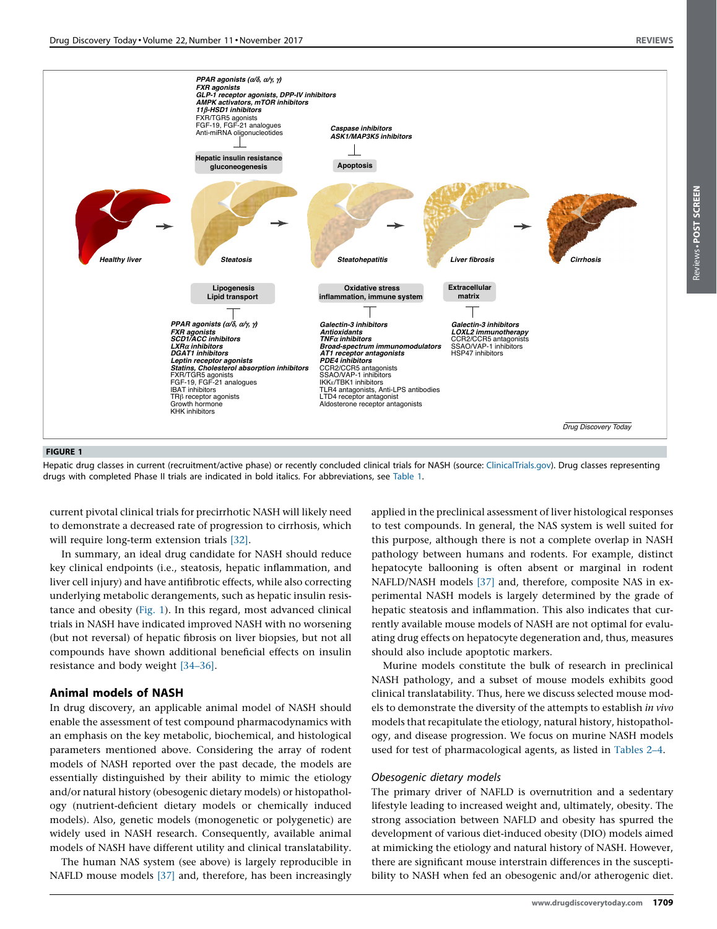<span id="page-2-0"></span>

### FIGURE 1

Hepatic drug classes in current (recruitment/active phase) or recently concluded clinical trials for NASH (source: [ClinicalTrials.gov\)](http://ClinicalTrials.gov). Drug classes representing drugs with completed Phase II trials are indicated in bold italics. For abbreviations, see [Table](#page-5-0) 1.

current pivotal clinical trials for precirrhotic NASH will likely need to demonstrate a decreased rate of progression to cirrhosis, which will require long-term extension trials [\[32\]](#page-9-0).

In summary, an ideal drug candidate for NASH should reduce key clinical endpoints (i.e., steatosis, hepatic inflammation, and liver cell injury) and have antifibrotic effects, while also correcting underlying metabolic derangements, such as hepatic insulin resistance and obesity (Fig. 1). In this regard, most advanced clinical trials in NASH have indicated improved NASH with no worsening (but not reversal) of hepatic fibrosis on liver biopsies, but not all compounds have shown additional beneficial effects on insulin resistance and body weight [\[34–36\]](#page-9-0).

### Animal models of NASH

In drug discovery, an applicable animal model of NASH should enable the assessment of test compound pharmacodynamics with an emphasis on the key metabolic, biochemical, and histological parameters mentioned above. Considering the array of rodent models of NASH reported over the past decade, the models are essentially distinguished by their ability to mimic the etiology and/or natural history (obesogenic dietary models) or histopathology (nutrient-deficient dietary models or chemically induced models). Also, genetic models (monogenetic or polygenetic) are widely used in NASH research. Consequently, available animal models of NASH have different utility and clinical translatability.

The human NAS system (see above) is largely reproducible in NAFLD mouse models [\[37\]](#page-9-0) and, therefore, has been increasingly

applied in the preclinical assessment of liver histological responses to test compounds. In general, the NAS system is well suited for this purpose, although there is not a complete overlap in NASH pathology between humans and rodents. For example, distinct hepatocyte ballooning is often absent or marginal in rodent NAFLD/NASH models [\[37\]](#page-9-0) and, therefore, composite NAS in experimental NASH models is largely determined by the grade of hepatic steatosis and inflammation. This also indicates that currently available mouse models of NASH are not optimal for evaluating drug effects on hepatocyte degeneration and, thus, measures should also include apoptotic markers.

Murine models constitute the bulk of research in preclinical NASH pathology, and a subset of mouse models exhibits good clinical translatability. Thus, here we discuss selected mouse models to demonstrate the diversity of the attempts to establish in vivo models that recapitulate the etiology, natural history, histopathology, and disease progression. We focus on murine NASH models used for test of pharmacological agents, as listed in [Tables](#page-6-0) 2–4.

### Obesogenic dietary models

The primary driver of NAFLD is overnutrition and a sedentary lifestyle leading to increased weight and, ultimately, obesity. The strong association between NAFLD and obesity has spurred the development of various diet-induced obesity (DIO) models aimed at mimicking the etiology and natural history of NASH. However, there are significant mouse interstrain differences in the susceptibility to NASH when fed an obesogenic and/or atherogenic diet.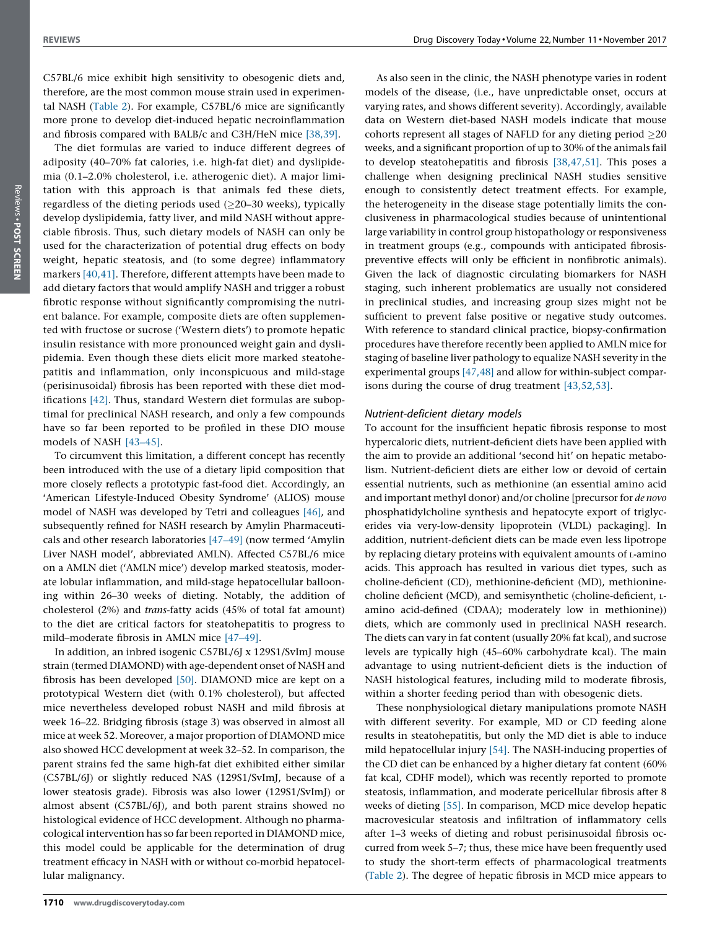C57BL/6 mice exhibit high sensitivity to obesogenic diets and, therefore, are the most common mouse strain used in experimental NASH ([Table](#page-6-0) 2). For example, C57BL/6 mice are significantly more prone to develop diet-induced hepatic necroinflammation and fibrosis compared with BALB/c and C3H/HeN mice [\[38,39\].](#page-9-0)

The diet formulas are varied to induce different degrees of adiposity (40–70% fat calories, i.e. high-fat diet) and dyslipidemia (0.1–2.0% cholesterol, i.e. atherogenic diet). A major limitation with this approach is that animals fed these diets, regardless of the dieting periods used  $(\geq 20-30$  weeks), typically develop dyslipidemia, fatty liver, and mild NASH without appreciable fibrosis. Thus, such dietary models of NASH can only be used for the characterization of potential drug effects on body weight, hepatic steatosis, and (to some degree) inflammatory markers [\[40,41\].](#page-9-0) Therefore, different attempts have been made to add dietary factors that would amplify NASH and trigger a robust fibrotic response without significantly compromising the nutrient balance. For example, composite diets are often supplemented with fructose or sucrose ('Western diets') to promote hepatic insulin resistance with more pronounced weight gain and dyslipidemia. Even though these diets elicit more marked steatohepatitis and inflammation, only inconspicuous and mild-stage (perisinusoidal) fibrosis has been reported with these diet modifications [\[42\]](#page-9-0). Thus, standard Western diet formulas are suboptimal for preclinical NASH research, and only a few compounds have so far been reported to be profiled in these DIO mouse models of NASH [\[43–45\].](#page-9-0)

To circumvent this limitation, a different concept has recently been introduced with the use of a dietary lipid composition that more closely reflects a prototypic fast-food diet. Accordingly, an 'American Lifestyle-Induced Obesity Syndrome' (ALIOS) mouse model of NASH was developed by Tetri and colleagues [\[46\]](#page-9-0), and subsequently refined for NASH research by Amylin Pharmaceuticals and other research laboratories [\[47–49\]](#page-9-0) (now termed 'Amylin Liver NASH model', abbreviated AMLN). Affected C57BL/6 mice on a AMLN diet ('AMLN mice') develop marked steatosis, moderate lobular inflammation, and mild-stage hepatocellular ballooning within 26–30 weeks of dieting. Notably, the addition of cholesterol (2%) and trans-fatty acids (45% of total fat amount) to the diet are critical factors for steatohepatitis to progress to mild–moderate fibrosis in AMLN mice [\[47–49\]](#page-9-0).

In addition, an inbred isogenic C57BL/6J x 129S1/SvImJ mouse strain (termed DIAMOND) with age-dependent onset of NASH and fibrosis has been developed [\[50\].](#page-9-0) DIAMOND mice are kept on a prototypical Western diet (with 0.1% cholesterol), but affected mice nevertheless developed robust NASH and mild fibrosis at week 16–22. Bridging fibrosis (stage 3) was observed in almost all mice at week 52. Moreover, a major proportion of DIAMOND mice also showed HCC development at week 32–52. In comparison, the parent strains fed the same high-fat diet exhibited either similar (C57BL/6J) or slightly reduced NAS (129S1/SvImJ, because of a lower steatosis grade). Fibrosis was also lower (129S1/SvImJ) or almost absent (C57BL/6J), and both parent strains showed no histological evidence of HCC development. Although no pharmacological intervention has so far been reported in DIAMOND mice, this model could be applicable for the determination of drug treatment efficacy in NASH with or without co-morbid hepatocellular malignancy.

As also seen in the clinic, the NASH phenotype varies in rodent models of the disease, (i.e., have unpredictable onset, occurs at varying rates, and shows different severity). Accordingly, available data on Western diet-based NASH models indicate that mouse cohorts represent all stages of NAFLD for any dieting period  $\geq$ 20 weeks, and a significant proportion of up to 30% of the animals fail to develop steatohepatitis and fibrosis [\[38,47,51\]](#page-9-0). This poses a challenge when designing preclinical NASH studies sensitive enough to consistently detect treatment effects. For example, the heterogeneity in the disease stage potentially limits the conclusiveness in pharmacological studies because of unintentional large variability in control group histopathology or responsiveness in treatment groups (e.g., compounds with anticipated fibrosispreventive effects will only be efficient in nonfibrotic animals). Given the lack of diagnostic circulating biomarkers for NASH staging, such inherent problematics are usually not considered in preclinical studies, and increasing group sizes might not be sufficient to prevent false positive or negative study outcomes. With reference to standard clinical practice, biopsy-confirmation procedures have therefore recently been applied to AMLN mice for staging of baseline liver pathology to equalize NASH severity in the experimental groups [\[47,48\]](#page-9-0) and allow for within-subject comparisons during the course of drug treatment [\[43,52,53\]](#page-9-0).

### Nutrient-deficient dietary models

To account for the insufficient hepatic fibrosis response to most hypercaloric diets, nutrient-deficient diets have been applied with the aim to provide an additional 'second hit' on hepatic metabolism. Nutrient-deficient diets are either low or devoid of certain essential nutrients, such as methionine (an essential amino acid and important methyl donor) and/or choline [precursor for de novo phosphatidylcholine synthesis and hepatocyte export of triglycerides via very-low-density lipoprotein (VLDL) packaging]. In addition, nutrient-deficient diets can be made even less lipotrope by replacing dietary proteins with equivalent amounts of L-amino acids. This approach has resulted in various diet types, such as choline-deficient (CD), methionine-deficient (MD), methioninecholine deficient (MCD), and semisynthetic (choline-deficient, Lamino acid-defined (CDAA); moderately low in methionine)) diets, which are commonly used in preclinical NASH research. The diets can vary in fat content (usually 20% fat kcal), and sucrose levels are typically high (45–60% carbohydrate kcal). The main advantage to using nutrient-deficient diets is the induction of NASH histological features, including mild to moderate fibrosis, within a shorter feeding period than with obesogenic diets.

These nonphysiological dietary manipulations promote NASH with different severity. For example, MD or CD feeding alone results in steatohepatitis, but only the MD diet is able to induce mild hepatocellular injury [\[54\]](#page-9-0). The NASH-inducing properties of the CD diet can be enhanced by a higher dietary fat content (60% fat kcal, CDHF model), which was recently reported to promote steatosis, inflammation, and moderate pericellular fibrosis after 8 weeks of dieting [\[55\]](#page-9-0). In comparison, MCD mice develop hepatic macrovesicular steatosis and infiltration of inflammatory cells after 1–3 weeks of dieting and robust perisinusoidal fibrosis occurred from week 5–7; thus, these mice have been frequently used to study the short-term effects of pharmacological treatments ([Table](#page-6-0) 2). The degree of hepatic fibrosis in MCD mice appears to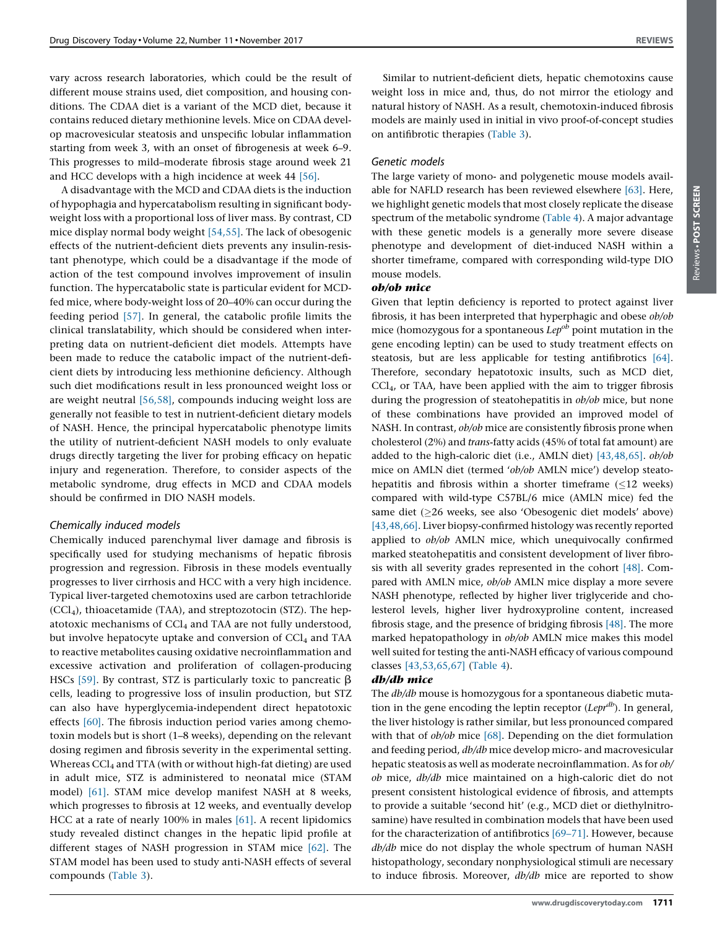vary across research laboratories, which could be the result of different mouse strains used, diet composition, and housing conditions. The CDAA diet is a variant of the MCD diet, because it contains reduced dietary methionine levels. Mice on CDAA develop macrovesicular steatosis and unspecific lobular inflammation starting from week 3, with an onset of fibrogenesis at week 6–9. This progresses to mild–moderate fibrosis stage around week 21 and HCC develops with a high incidence at week 44 [\[56\].](#page-9-0)

A disadvantage with the MCD and CDAA diets is the induction of hypophagia and hypercatabolism resulting in significant bodyweight loss with a proportional loss of liver mass. By contrast, CD mice display normal body weight [\[54,55\].](#page-9-0) The lack of obesogenic effects of the nutrient-deficient diets prevents any insulin-resistant phenotype, which could be a disadvantage if the mode of action of the test compound involves improvement of insulin function. The hypercatabolic state is particular evident for MCDfed mice, where body-weight loss of 20–40% can occur during the feeding period [\[57\].](#page-10-0) In general, the catabolic profile limits the clinical translatability, which should be considered when interpreting data on nutrient-deficient diet models. Attempts have been made to reduce the catabolic impact of the nutrient-deficient diets by introducing less methionine deficiency. Although such diet modifications result in less pronounced weight loss or are weight neutral [\[56,58\],](#page-9-0) compounds inducing weight loss are generally not feasible to test in nutrient-deficient dietary models of NASH. Hence, the principal hypercatabolic phenotype limits the utility of nutrient-deficient NASH models to only evaluate drugs directly targeting the liver for probing efficacy on hepatic injury and regeneration. Therefore, to consider aspects of the metabolic syndrome, drug effects in MCD and CDAA models should be confirmed in DIO NASH models.

### Chemically induced models

Chemically induced parenchymal liver damage and fibrosis is specifically used for studying mechanisms of hepatic fibrosis progression and regression. Fibrosis in these models eventually progresses to liver cirrhosis and HCC with a very high incidence. Typical liver-targeted chemotoxins used are carbon tetrachloride  $(CCl<sub>4</sub>)$ , thioacetamide (TAA), and streptozotocin (STZ). The hepatotoxic mechanisms of  $\text{CCl}_4$  and TAA are not fully understood, but involve hepatocyte uptake and conversion of CCl<sub>4</sub> and TAA to reactive metabolites causing oxidative necroinflammation and excessive activation and proliferation of collagen-producing HSCs [\[59\]](#page-10-0). By contrast, STZ is particularly toxic to pancreatic  $\beta$ cells, leading to progressive loss of insulin production, but STZ can also have hyperglycemia-independent direct hepatotoxic effects [\[60\].](#page-10-0) The fibrosis induction period varies among chemotoxin models but is short (1–8 weeks), depending on the relevant dosing regimen and fibrosis severity in the experimental setting. Whereas CCl<sub>4</sub> and TTA (with or without high-fat dieting) are used in adult mice, STZ is administered to neonatal mice (STAM model) [\[61\].](#page-10-0) STAM mice develop manifest NASH at 8 weeks, which progresses to fibrosis at 12 weeks, and eventually develop HCC at a rate of nearly 100% in males [\[61\].](#page-10-0) A recent lipidomics study revealed distinct changes in the hepatic lipid profile at different stages of NASH progression in STAM mice [\[62\].](#page-10-0) The STAM model has been used to study anti-NASH effects of several compounds ([Table](#page-6-0) 3).

Similar to nutrient-deficient diets, hepatic chemotoxins cause weight loss in mice and, thus, do not mirror the etiology and natural history of NASH. As a result, chemotoxin-induced fibrosis models are mainly used in initial in vivo proof-of-concept studies on antifibrotic therapies ([Table](#page-6-0) 3).

### Genetic models

The large variety of mono- and polygenetic mouse models available for NAFLD research has been reviewed elsewhere [\[63\]](#page-10-0). Here, we highlight genetic models that most closely replicate the disease spectrum of the metabolic syndrome [\(Table](#page-7-0) 4). A major advantage with these genetic models is a generally more severe disease phenotype and development of diet-induced NASH within a shorter timeframe, compared with corresponding wild-type DIO mouse models.

### ob/ob mice

Given that leptin deficiency is reported to protect against liver fibrosis, it has been interpreted that hyperphagic and obese ob/ob mice (homozygous for a spontaneous  $Lep^{ob}$  point mutation in the gene encoding leptin) can be used to study treatment effects on steatosis, but are less applicable for testing antifibrotics [\[64\].](#page-10-0) Therefore, secondary hepatotoxic insults, such as MCD diet, CCl4, or TAA, have been applied with the aim to trigger fibrosis during the progression of steatohepatitis in  $ob/ob$  mice, but none of these combinations have provided an improved model of NASH. In contrast, ob/ob mice are consistently fibrosis prone when cholesterol (2%) and trans-fatty acids (45% of total fat amount) are added to the high-caloric diet (i.e., AMLN diet) [\[43,48,65\].](#page-9-0) ob/ob mice on AMLN diet (termed 'ob/ob AMLN mice') develop steatohepatitis and fibrosis within a shorter timeframe  $(\leq 12$  weeks) compared with wild-type C57BL/6 mice (AMLN mice) fed the same diet ( $\geq$ 26 weeks, see also 'Obesogenic diet models' above) [\[43,48,66\]](#page-9-0). Liver biopsy-confirmed histology was recently reported applied to  $ob/ob$  AMLN mice, which unequivocally confirmed marked steatohepatitis and consistent development of liver fibrosis with all severity grades represented in the cohort [\[48\].](#page-9-0) Compared with AMLN mice, ob/ob AMLN mice display a more severe NASH phenotype, reflected by higher liver triglyceride and cholesterol levels, higher liver hydroxyproline content, increased fibrosis stage, and the presence of bridging fibrosis [\[48\].](#page-9-0) The more marked hepatopathology in ob/ob AMLN mice makes this model well suited for testing the anti-NASH efficacy of various compound classes [\[43,53,65,67\]](#page-9-0) ([Table](#page-7-0) 4).

### db/db mice

The db/db mouse is homozygous for a spontaneous diabetic mutation in the gene encoding the leptin receptor  $(Lepr^{db})$ . In general, the liver histology is rather similar, but less pronounced compared with that of  $ob/ob$  mice [\[68\].](#page-10-0) Depending on the diet formulation and feeding period, db/db mice develop micro- and macrovesicular hepatic steatosis as well as moderate necroinflammation. As for ob/ ob mice, db/db mice maintained on a high-caloric diet do not present consistent histological evidence of fibrosis, and attempts to provide a suitable 'second hit' (e.g., MCD diet or diethylnitrosamine) have resulted in combination models that have been used for the characterization of antifibrotics [\[69–71\].](#page-10-0) However, because db/db mice do not display the whole spectrum of human NASH histopathology, secondary nonphysiological stimuli are necessary to induce fibrosis. Moreover,  $db/db$  mice are reported to show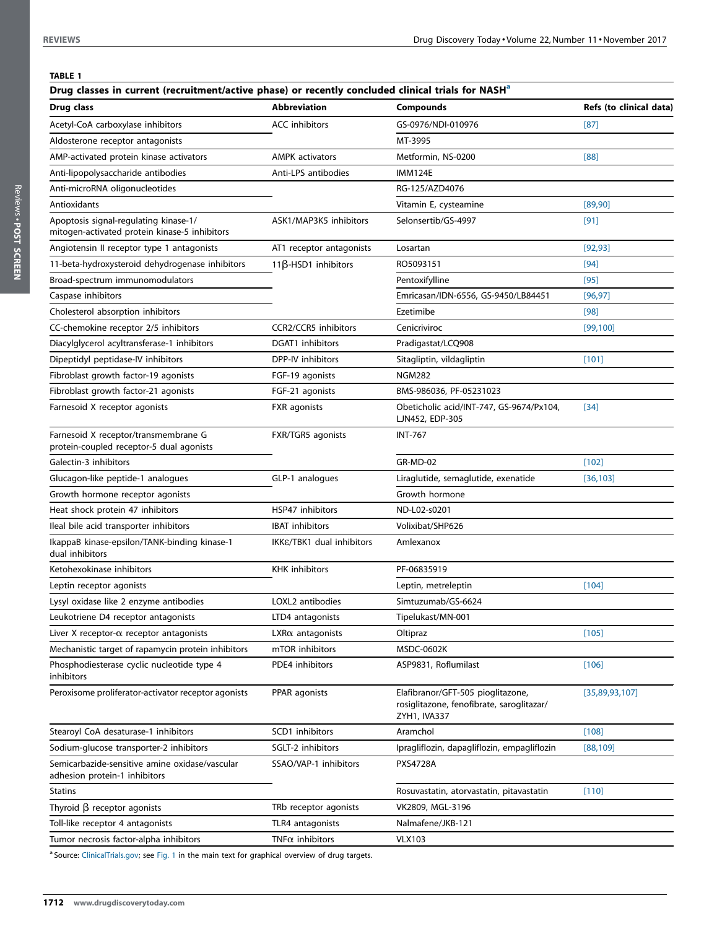### <span id="page-5-0"></span>TABLE 1

| Drug classes in current (recruitment/active phase) or recently concluded clinical trials for NASH <sup>a</sup> |                             |                                                                                                |                         |  |
|----------------------------------------------------------------------------------------------------------------|-----------------------------|------------------------------------------------------------------------------------------------|-------------------------|--|
| Drug class                                                                                                     | <b>Abbreviation</b>         | <b>Compounds</b>                                                                               | Refs (to clinical data) |  |
| Acetyl-CoA carboxylase inhibitors                                                                              | <b>ACC</b> inhibitors       | GS-0976/NDI-010976                                                                             | $[87]$                  |  |
| Aldosterone receptor antagonists                                                                               |                             | MT-3995                                                                                        |                         |  |
| AMP-activated protein kinase activators                                                                        | <b>AMPK</b> activators      | Metformin, NS-0200                                                                             | [88]                    |  |
| Anti-lipopolysaccharide antibodies                                                                             | Anti-LPS antibodies         | <b>IMM124E</b>                                                                                 |                         |  |
| Anti-microRNA oligonucleotides                                                                                 |                             | RG-125/AZD4076                                                                                 |                         |  |
| Antioxidants                                                                                                   |                             | Vitamin E, cysteamine                                                                          | [89,90]                 |  |
| Apoptosis signal-regulating kinase-1/<br>mitogen-activated protein kinase-5 inhibitors                         | ASK1/MAP3K5 inhibitors      | Selonsertib/GS-4997                                                                            | $[91]$                  |  |
| Angiotensin II receptor type 1 antagonists                                                                     | AT1 receptor antagonists    | Losartan                                                                                       | [92, 93]                |  |
| 11-beta-hydroxysteroid dehydrogenase inhibitors                                                                | $11\beta$ -HSD1 inhibitors  | RO5093151                                                                                      | $[94]$                  |  |
| Broad-spectrum immunomodulators                                                                                |                             | Pentoxifylline                                                                                 | [95]                    |  |
| Caspase inhibitors                                                                                             |                             | Emricasan/IDN-6556, GS-9450/LB84451                                                            | [96, 97]                |  |
| Cholesterol absorption inhibitors                                                                              |                             | Ezetimibe                                                                                      | [98]                    |  |
| CC-chemokine receptor 2/5 inhibitors                                                                           | <b>CCR2/CCR5</b> inhibitors | Cenicriviroc                                                                                   | [99, 100]               |  |
| Diacylglycerol acyltransferase-1 inhibitors                                                                    | <b>DGAT1</b> inhibitors     | Pradigastat/LCQ908                                                                             |                         |  |
| Dipeptidyl peptidase-IV inhibitors                                                                             | DPP-IV inhibitors           | Sitagliptin, vildagliptin                                                                      | [101]                   |  |
| Fibroblast growth factor-19 agonists                                                                           | FGF-19 agonists             | <b>NGM282</b>                                                                                  |                         |  |
| Fibroblast growth factor-21 agonists                                                                           | FGF-21 agonists             | BMS-986036, PF-05231023                                                                        |                         |  |
| Farnesoid X receptor agonists                                                                                  | FXR agonists                | Obeticholic acid/INT-747, GS-9674/Px104,<br>LJN452, EDP-305                                    | $[34]$                  |  |
| Farnesoid X receptor/transmembrane G<br>protein-coupled receptor-5 dual agonists                               | FXR/TGR5 agonists           | <b>INT-767</b>                                                                                 |                         |  |
| Galectin-3 inhibitors                                                                                          |                             | <b>GR-MD-02</b>                                                                                | $[102]$                 |  |
| Glucagon-like peptide-1 analogues                                                                              | GLP-1 analogues             | Liraglutide, semaglutide, exenatide                                                            | [36, 103]               |  |
| Growth hormone receptor agonists                                                                               |                             | Growth hormone                                                                                 |                         |  |
| Heat shock protein 47 inhibitors                                                                               | HSP47 inhibitors            | ND-L02-s0201                                                                                   |                         |  |
| Ileal bile acid transporter inhibitors                                                                         | <b>IBAT</b> inhibitors      | Volixibat/SHP626                                                                               |                         |  |
| IkappaB kinase-epsilon/TANK-binding kinase-1<br>dual inhibitors                                                | IKKE/TBK1 dual inhibitors   | Amlexanox                                                                                      |                         |  |
| Ketohexokinase inhibitors                                                                                      | <b>KHK</b> inhibitors       | PF-06835919                                                                                    |                         |  |
| Leptin receptor agonists                                                                                       |                             | Leptin, metreleptin                                                                            | [104]                   |  |
| Lysyl oxidase like 2 enzyme antibodies                                                                         | LOXL2 antibodies            | Simtuzumab/GS-6624                                                                             |                         |  |
| Leukotriene D4 receptor antagonists                                                                            | LTD4 antagonists            | Tipelukast/MN-001                                                                              |                         |  |
| Liver X receptor- $\alpha$ receptor antagonists                                                                | $LXR\alpha$ antagonists     | Oltipraz                                                                                       | $[105]$                 |  |
| Mechanistic target of rapamycin protein inhibitors                                                             | mTOR inhibitors             | MSDC-0602K                                                                                     |                         |  |
| Phosphodiesterase cyclic nucleotide type 4<br>inhibitors                                                       | PDE4 inhibitors             | ASP9831, Roflumilast                                                                           | $[106]$                 |  |
| Peroxisome proliferator-activator receptor agonists                                                            | PPAR agonists               | Elafibranor/GFT-505 pioglitazone,<br>rosiglitazone, fenofibrate, saroglitazar/<br>ZYH1, IVA337 | [35,89,93,107]          |  |
| Stearoyl CoA desaturase-1 inhibitors                                                                           | SCD1 inhibitors             | Aramchol                                                                                       | [108]                   |  |
| Sodium-glucose transporter-2 inhibitors                                                                        | SGLT-2 inhibitors           | Ipragliflozin, dapagliflozin, empagliflozin                                                    | [88, 109]               |  |
| Semicarbazide-sensitive amine oxidase/vascular<br>adhesion protein-1 inhibitors                                | SSAO/VAP-1 inhibitors       | <b>PXS4728A</b>                                                                                |                         |  |
| <b>Statins</b>                                                                                                 |                             | Rosuvastatin, atorvastatin, pitavastatin                                                       | [110]                   |  |
| Thyroid $\beta$ receptor agonists                                                                              | TRb receptor agonists       | VK2809, MGL-3196                                                                               |                         |  |
| Toll-like receptor 4 antagonists                                                                               | TLR4 antagonists            | Nalmafene/JKB-121                                                                              |                         |  |
| Tumor necrosis factor-alpha inhibitors                                                                         | TNF $\alpha$ inhibitors     | <b>VLX103</b>                                                                                  |                         |  |
|                                                                                                                |                             |                                                                                                |                         |  |

<sup>a</sup> Source: [ClinicalTrials.gov](http://ClinicalTrials.gov); see [Fig.](#page-2-0) 1 in the main text for graphical overview of drug targets.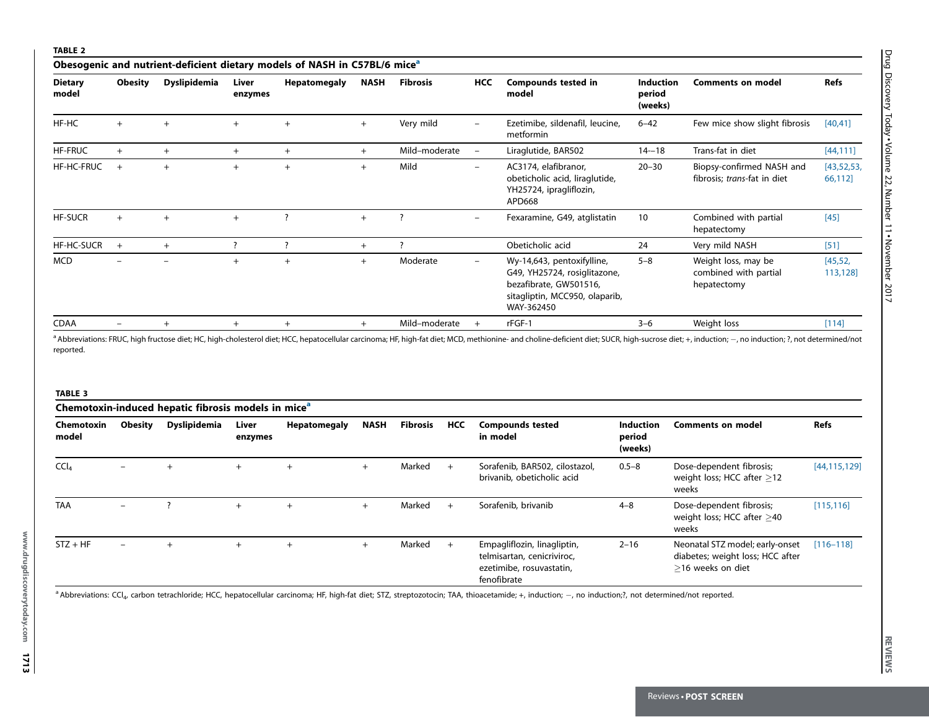### <span id="page-6-0"></span>TABLE 2

|                         | Obesogenic and nutrient-deficient dietary models of NASH in C57BL/6 mice <sup>a</sup> |                     |                  |                     |             |                          |                          |                                                                                                                                      |                                       |                                                             |                         |
|-------------------------|---------------------------------------------------------------------------------------|---------------------|------------------|---------------------|-------------|--------------------------|--------------------------|--------------------------------------------------------------------------------------------------------------------------------------|---------------------------------------|-------------------------------------------------------------|-------------------------|
| <b>Dietary</b><br>model | <b>Obesity</b>                                                                        | <b>Dyslipidemia</b> | Liver<br>enzymes | <b>Hepatomegaly</b> | <b>NASH</b> | <b>Fibrosis</b>          | <b>HCC</b>               | <b>Compounds tested in</b><br>model                                                                                                  | <b>Induction</b><br>period<br>(weeks) | <b>Comments on model</b>                                    | Refs                    |
| HF-HC                   | $+$                                                                                   | $+$                 | $+$              | $^{+}$              | $+$         | Very mild                | $\overline{\phantom{m}}$ | Ezetimibe, sildenafil, leucine,<br>metformin                                                                                         | $6 - 42$                              | Few mice show slight fibrosis                               | [40, 41]                |
| <b>HF-FRUC</b>          | $+$                                                                                   | $^{+}$              | $+$              | $+$                 | $+$         | Mild-moderate            | $\overline{\phantom{a}}$ | Liraglutide, BAR502                                                                                                                  | $14 - 18$                             | Trans-fat in diet                                           | [44, 111]               |
| HF-HC-FRUC              | $+$                                                                                   | $+$                 | $+$              | $+$                 | $+$         | Mild                     | $\overline{\phantom{m}}$ | AC3174, elafibranor,<br>obeticholic acid, liraglutide,<br>YH25724, ipragliflozin,<br>APD668                                          | $20 - 30$                             | Biopsy-confirmed NASH and<br>fibrosis; trans-fat in diet    | [43, 52, 53]<br>66,112] |
| <b>HF-SUCR</b>          | $+$                                                                                   | $^{+}$              | $+$              |                     |             | $\overline{\phantom{a}}$ |                          | Fexaramine, G49, atglistatin                                                                                                         | 10                                    | Combined with partial<br>hepatectomy                        | $[45]$                  |
| HF-HC-SUCR              | $+$                                                                                   | $+$                 |                  |                     | $+$         |                          |                          | Obeticholic acid                                                                                                                     | 24                                    | Very mild NASH                                              | $[51]$                  |
| <b>MCD</b>              |                                                                                       |                     | $+$              |                     | $+$         | Moderate                 | $\overline{\phantom{0}}$ | Wy-14,643, pentoxifylline,<br>G49, YH25724, rosiglitazone,<br>bezafibrate, GW501516,<br>sitagliptin, MCC950, olaparib,<br>WAY-362450 | $5 - 8$                               | Weight loss, may be<br>combined with partial<br>hepatectomy | [45, 52,<br>113,128]    |
| <b>CDAA</b>             | $\qquad \qquad -$                                                                     | $+$                 | $+$              | $+$                 | $+$         | Mild-moderate            | $+$                      | rFGF-1                                                                                                                               | $3 - 6$                               | Weight loss                                                 | [114]                   |
|                         |                                                                                       |                     |                  |                     |             |                          |                          |                                                                                                                                      |                                       |                                                             |                         |

a Abbreviations: FRUC, high fructose diet; HC, high-cholesterol diet; HCC, hepatocellular carcinoma; HF, high-fat diet; MCD, methionine- and choline-deficient diet; SUCR, high-sucrose diet; +, induction; -, no induction; ? reported.

# TAR **The Control of the Control of the Compounds tested**<br>
Chemotoxin-induced hepatit fibrosis model enzymes<br>
enzymes<br>
CCu<sub>t</sub><br>
CCut - The text engine of the state of the state of the state of the state of the state of the s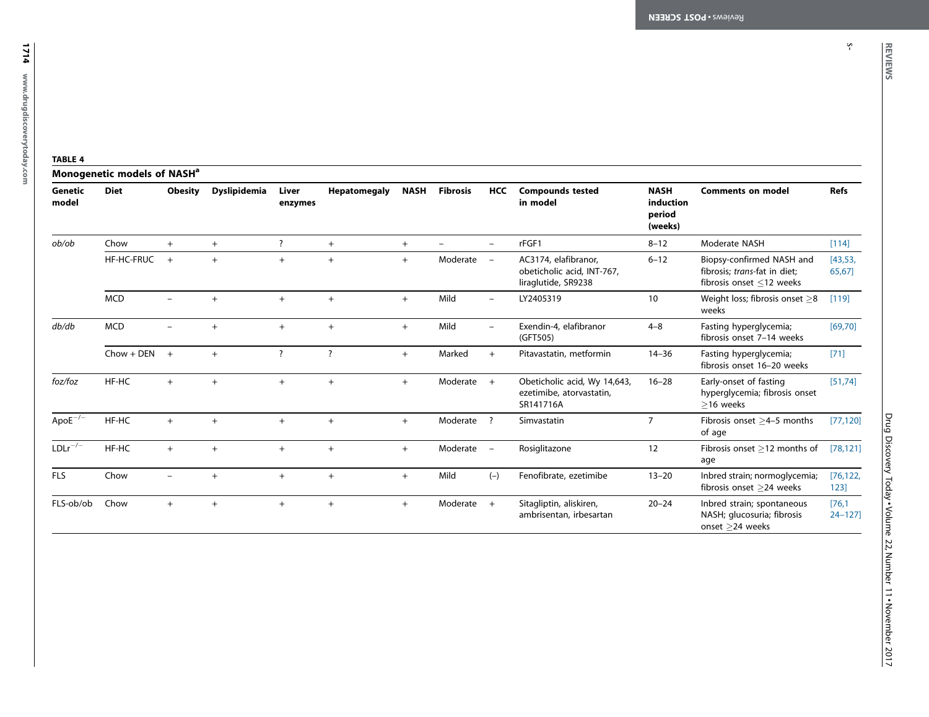s-

<span id="page-7-0"></span>1714 www.drugdiscoverytoday.com www.drugdiscoverytoday.com

### TABLE 4

|                       | Monogenetic models of NASH <sup>a</sup> |                          |                     |                          |                          |             |                 |                                   |                                                                           |                                               |                                                                                             |                      |
|-----------------------|-----------------------------------------|--------------------------|---------------------|--------------------------|--------------------------|-------------|-----------------|-----------------------------------|---------------------------------------------------------------------------|-----------------------------------------------|---------------------------------------------------------------------------------------------|----------------------|
| Genetic<br>model      | <b>Diet</b>                             | <b>Obesity</b>           | <b>Dyslipidemia</b> | Liver<br>enzymes         | <b>Hepatomegaly</b>      | <b>NASH</b> | <b>Fibrosis</b> | <b>HCC</b>                        | <b>Compounds tested</b><br>in model                                       | <b>NASH</b><br>induction<br>period<br>(weeks) | <b>Comments on model</b>                                                                    | <b>Refs</b>          |
| ob/ob                 | Chow                                    | $+$                      | $+$                 | $\overline{\phantom{a}}$ | $+$                      | $+$         |                 | $\sim$                            | rFGF1                                                                     | $8 - 12$                                      | Moderate NASH                                                                               | $[114]$              |
|                       | <b>HF-HC-FRUC</b>                       | $+$                      | $^{+}$              | $+$                      | $\ddot{}$                | $+$         | Moderate        | $\overline{\phantom{a}}$          | AC3174, elafibranor,<br>obeticholic acid, INT-767,<br>liraglutide, SR9238 | $6 - 12$                                      | Biopsy-confirmed NASH and<br>fibrosis; trans-fat in diet;<br>fibrosis onset $\leq$ 12 weeks | [43, 53,<br>65,67]   |
|                       | <b>MCD</b>                              |                          | $+$                 | $+$                      | $+$                      | $+$         | Mild            | $\overline{\phantom{m}}$          | LY2405319                                                                 | 10                                            | Weight loss; fibrosis onset $\geq$ 8<br>weeks                                               | [119]                |
| db/db                 | <b>MCD</b>                              | $\overline{\phantom{0}}$ | $\ddot{}$           | $+$                      | $+$                      | $+$         | Mild            | $\overline{\phantom{m}}$          | Exendin-4, elafibranor<br>(GFT505)                                        | $4 - 8$                                       | Fasting hyperglycemia;<br>fibrosis onset 7-14 weeks                                         | [69, 70]             |
|                       | $Chow + DEN$                            | $\overline{1}$           | $+$                 | $\overline{\phantom{a}}$ | $\overline{\phantom{a}}$ | $+$         | Marked          | $+$                               | Pitavastatin, metformin                                                   | $14 - 36$                                     | Fasting hyperglycemia;<br>fibrosis onset 16-20 weeks                                        | $[71]$               |
| foz/foz               | HF-HC                                   | $+$                      | $\ddot{}$           | $+$                      | $^{+}$                   | $+$         | Moderate        | $+$                               | Obeticholic acid, Wy 14,643,<br>ezetimibe, atorvastatin,<br>SR141716A     | $16 - 28$                                     | Early-onset of fasting<br>hyperglycemia; fibrosis onset<br>$>16$ weeks                      | [51, 74]             |
| $\mathsf{ApoE}^{-/-}$ | HF-HC                                   | $^{+}$                   | $\ddot{}$           | $+$                      | $+$                      | $+$         | Moderate        | $\overline{\phantom{a}}$          | Simvastatin                                                               | $\overline{7}$                                | Fibrosis onset >4-5 months<br>of age                                                        | [77, 120]            |
| $LDLr^{-/-}$          | HF-HC                                   | $+$                      | $\ddot{}$           | $+$                      | $+$                      | $+$         | Moderate        | $\hspace{0.1mm}$ $\hspace{0.1mm}$ | Rosiglitazone                                                             | 12                                            | Fibrosis onset >12 months of<br>age                                                         | [78, 121]            |
| <b>FLS</b>            | Chow                                    |                          | $\ddot{}$           | $+$                      | $+$                      | $+$         | Mild            | $(-)$                             | Fenofibrate, ezetimibe                                                    | $13 - 20$                                     | Inbred strain; normoglycemia;<br>fibrosis onset >24 weeks                                   | [76, 122,<br>123]    |
| FLS-ob/ob             | Chow                                    | $\ddot{}$                | $\ddot{}$           | $+$                      | $+$                      | $+$         | Moderate        | $+$                               | Sitagliptin, aliskiren,<br>ambrisentan, irbesartan                        | $20 - 24$                                     | Inbred strain; spontaneous<br>NASH; glucosuria; fibrosis<br>onset >24 weeks                 | [76,1]<br>$24 - 127$ |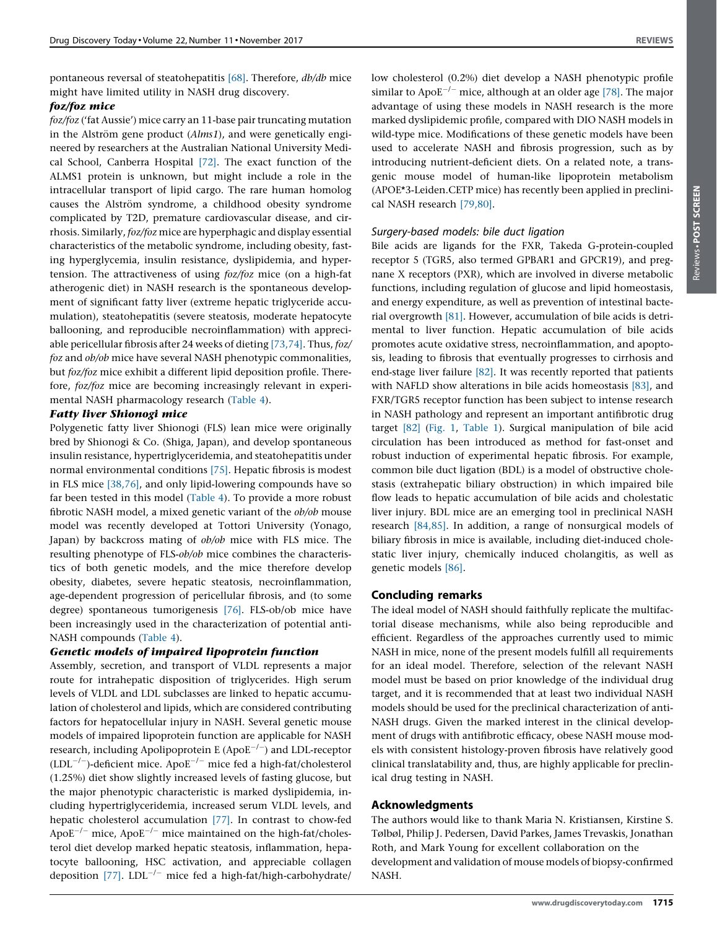pontaneous reversal of steatohepatitis [\[68\]](#page-10-0). Therefore, db/db mice might have limited utility in NASH drug discovery.

### foz/foz mice

 $foz/foz$  ('fat Aussie') mice carry an 11-base pair truncating mutation in the Alström gene product  $(Alms1)$ , and were genetically engineered by researchers at the Australian National University Medical School, Canberra Hospital [\[72\]](#page-10-0). The exact function of the ALMS1 protein is unknown, but might include a role in the intracellular transport of lipid cargo. The rare human homolog causes the Alström syndrome, a childhood obesity syndrome complicated by T2D, premature cardiovascular disease, and cirrhosis. Similarly, foz/foz mice are hyperphagic and display essential characteristics of the metabolic syndrome, including obesity, fasting hyperglycemia, insulin resistance, dyslipidemia, and hypertension. The attractiveness of using foz/foz mice (on a high-fat atherogenic diet) in NASH research is the spontaneous development of significant fatty liver (extreme hepatic triglyceride accumulation), steatohepatitis (severe steatosis, moderate hepatocyte ballooning, and reproducible necroinflammation) with appreciable pericellular fibrosis after 24 weeks of dieting [\[73,74\].](#page-10-0) Thus, foz/ foz and ob/ob mice have several NASH phenotypic commonalities, but foz/foz mice exhibit a different lipid deposition profile. Therefore, foz/foz mice are becoming increasingly relevant in experimental NASH pharmacology research ([Table](#page-7-0) 4).

### Fatty liver Shionogi mice

Polygenetic fatty liver Shionogi (FLS) lean mice were originally bred by Shionogi & Co. (Shiga, Japan), and develop spontaneous insulin resistance, hypertriglyceridemia, and steatohepatitis under normal environmental conditions [\[75\]](#page-10-0). Hepatic fibrosis is modest in FLS mice [\[38,76\]](#page-9-0), and only lipid-lowering compounds have so far been tested in this model [\(Table](#page-7-0) 4). To provide a more robust fibrotic NASH model, a mixed genetic variant of the ob/ob mouse model was recently developed at Tottori University (Yonago, Japan) by backcross mating of ob/ob mice with FLS mice. The resulting phenotype of FLS-ob/ob mice combines the characteristics of both genetic models, and the mice therefore develop obesity, diabetes, severe hepatic steatosis, necroinflammation, age-dependent progression of pericellular fibrosis, and (to some degree) spontaneous tumorigenesis [\[76\]](#page-10-0). FLS-ob/ob mice have been increasingly used in the characterization of potential anti-NASH compounds [\(Table](#page-7-0) 4).

### Genetic models of impaired lipoprotein function

Assembly, secretion, and transport of VLDL represents a major route for intrahepatic disposition of triglycerides. High serum levels of VLDL and LDL subclasses are linked to hepatic accumulation of cholesterol and lipids, which are considered contributing factors for hepatocellular injury in NASH. Several genetic mouse models of impaired lipoprotein function are applicable for NASH research, including Apolipoprotein E (Apo $E^{-/-}$ ) and LDL-receptor  $(LDL^{-/-})$ -deficient mice. ApoE<sup>-/-</sup> mice fed a high-fat/cholesterol (1.25%) diet show slightly increased levels of fasting glucose, but the major phenotypic characteristic is marked dyslipidemia, including hypertriglyceridemia, increased serum VLDL levels, and hepatic cholesterol accumulation [\[77\].](#page-10-0) In contrast to chow-fed Apo $E^{-/-}$  mice, Apo $E^{-/-}$  mice maintained on the high-fat/cholesterol diet develop marked hepatic steatosis, inflammation, hepatocyte ballooning, HSC activation, and appreciable collagen deposition  $[77]$ . LDL<sup>-/-</sup> mice fed a high-fat/high-carbohydrate/ low cholesterol (0.2%) diet develop a NASH phenotypic profile similar to Apo $E^{-/-}$  mice, although at an older age [\[78\]](#page-10-0). The major

advantage of using these models in NASH research is the more marked dyslipidemic profile, compared with DIO NASH models in wild-type mice. Modifications of these genetic models have been used to accelerate NASH and fibrosis progression, such as by introducing nutrient-deficient diets. On a related note, a transgenic mouse model of human-like lipoprotein metabolism (APOE\*3-Leiden.CETP mice) has recently been applied in preclinical NASH research [\[79,80\].](#page-10-0)

### Surgery-based models: bile duct ligation

Bile acids are ligands for the FXR, Takeda G-protein-coupled receptor 5 (TGR5, also termed GPBAR1 and GPCR19), and pregnane X receptors (PXR), which are involved in diverse metabolic functions, including regulation of glucose and lipid homeostasis, and energy expenditure, as well as prevention of intestinal bacterial overgrowth [\[81\].](#page-10-0) However, accumulation of bile acids is detrimental to liver function. Hepatic accumulation of bile acids promotes acute oxidative stress, necroinflammation, and apoptosis, leading to fibrosis that eventually progresses to cirrhosis and end-stage liver failure [\[82\].](#page-10-0) It was recently reported that patients with NAFLD show alterations in bile acids homeostasis [\[83\]](#page-10-0), and FXR/TGR5 receptor function has been subject to intense research in NASH pathology and represent an important antifibrotic drug target [\[82\]](#page-10-0) ([Fig.](#page-2-0) 1, [Table](#page-5-0) 1). Surgical manipulation of bile acid circulation has been introduced as method for fast-onset and robust induction of experimental hepatic fibrosis. For example, common bile duct ligation (BDL) is a model of obstructive cholestasis (extrahepatic biliary obstruction) in which impaired bile flow leads to hepatic accumulation of bile acids and cholestatic liver injury. BDL mice are an emerging tool in preclinical NASH research [\[84,85\]](#page-10-0). In addition, a range of nonsurgical models of biliary fibrosis in mice is available, including diet-induced cholestatic liver injury, chemically induced cholangitis, as well as genetic models [\[86\].](#page-10-0)

### Concluding remarks

The ideal model of NASH should faithfully replicate the multifactorial disease mechanisms, while also being reproducible and efficient. Regardless of the approaches currently used to mimic NASH in mice, none of the present models fulfill all requirements for an ideal model. Therefore, selection of the relevant NASH model must be based on prior knowledge of the individual drug target, and it is recommended that at least two individual NASH models should be used for the preclinical characterization of anti-NASH drugs. Given the marked interest in the clinical development of drugs with antifibrotic efficacy, obese NASH mouse models with consistent histology-proven fibrosis have relatively good clinical translatability and, thus, are highly applicable for preclinical drug testing in NASH.

### Acknowledgments

The authors would like to thank Maria N. Kristiansen, Kirstine S. Tølbøl, Philip J. Pedersen, David Parkes, James Trevaskis, Jonathan Roth, and Mark Young for excellent collaboration on the development and validation of mouse models of biopsy-confirmed NASH.

Reviews POST SCREENReviews . POST SCREEN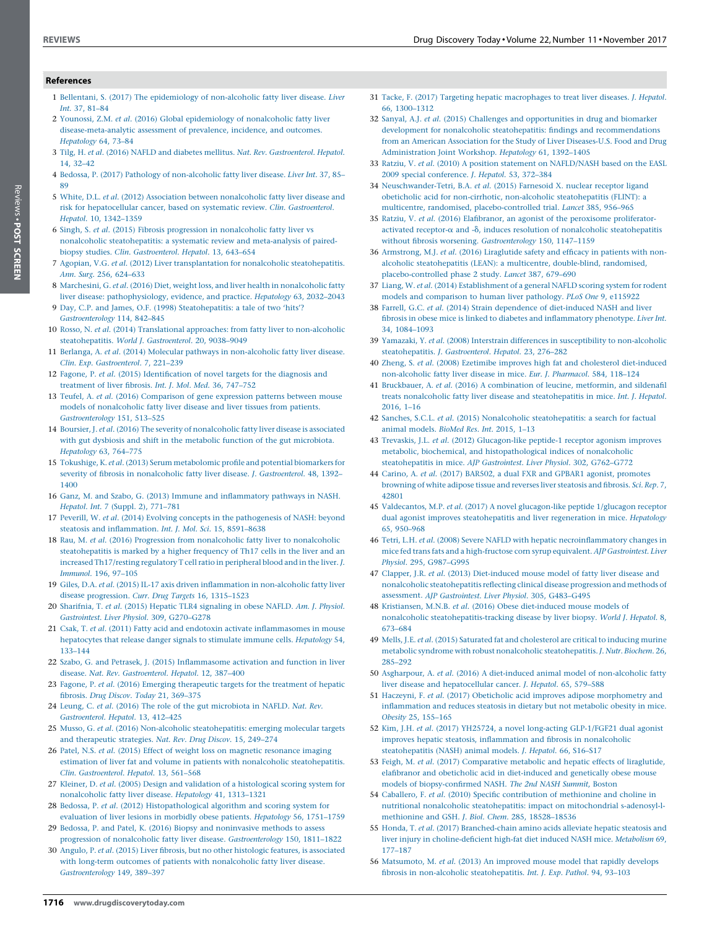1716 www.drugdiscoverytoday.com

### <span id="page-9-0"></span>References

- 1 Bellentani, S. (2017) The epidemiology of [non-alcoholic](http://refhub.elsevier.com/S1359-6446(17)30027-2/sbref0005) fatty liver disease. Liver Int. 37, [81–84](http://refhub.elsevier.com/S1359-6446(17)30027-2/sbref0005)
- 2 Younossi, Z.M. et al. (2016) Global [epidemiology](http://refhub.elsevier.com/S1359-6446(17)30027-2/sbref0010) of nonalcoholic fatty liver [disease-meta-analytic](http://refhub.elsevier.com/S1359-6446(17)30027-2/sbref0010) assessment of prevalence, incidence, and outcomes. [Hepatology](http://refhub.elsevier.com/S1359-6446(17)30027-2/sbref0010) 64, 73–84
- 3 Tilg, H. et al. (2016) NAFLD and diabetes mellitus. Nat. Rev. [Gastroenterol.](http://refhub.elsevier.com/S1359-6446(17)30027-2/sbref0015) Hepatol. 14, [32–42](http://refhub.elsevier.com/S1359-6446(17)30027-2/sbref0015)
- 4 Bedossa, P. (2017) Pathology of [non-alcoholic](http://refhub.elsevier.com/S1359-6446(17)30027-2/sbref0020) fatty liver disease. Liver Int. 37, 85– [89](http://refhub.elsevier.com/S1359-6446(17)30027-2/sbref0020)
- 5 White, D.L. et al. (2012) Association between [nonalcoholic](http://refhub.elsevier.com/S1359-6446(17)30027-2/sbref0025) fatty liver disease and risk for [hepatocellular](http://refhub.elsevier.com/S1359-6446(17)30027-2/sbref0025) cancer, based on systematic review. Clin. Gastroenterol. Hepatol. 10, [1342–1359](http://refhub.elsevier.com/S1359-6446(17)30027-2/sbref0025)
- 6 Singh, S. et al. (2015) Fibrosis progression in [nonalcoholic](http://refhub.elsevier.com/S1359-6446(17)30027-2/sbref0030) fatty liver vs nonalcoholic [steatohepatitis:](http://refhub.elsevier.com/S1359-6446(17)30027-2/sbref0030) a systematic review and meta-analysis of pairedbiopsy studies. Clin. [Gastroenterol.](http://refhub.elsevier.com/S1359-6446(17)30027-2/sbref0030) Hepatol. 13, 643–654
- 7 Agopian, V.G. et al. (2012) Liver [transplantation](http://refhub.elsevier.com/S1359-6446(17)30027-2/sbref0035) for nonalcoholic steatohepatitis. Ann. Surg. 256, [624–633](http://refhub.elsevier.com/S1359-6446(17)30027-2/sbref0035)
- 8 Marchesini, G. et al. (2016) Diet, weight loss, and liver health in [nonalcoholic](http://refhub.elsevier.com/S1359-6446(17)30027-2/sbref0040) fatty liver disease: [pathophysiology,](http://refhub.elsevier.com/S1359-6446(17)30027-2/sbref0040) evidence, and practice. Hepatology 63, 2032–2043
- 9 Day, C.P. and James, O.F. (1998) [Steatohepatitis:](http://refhub.elsevier.com/S1359-6446(17)30027-2/sbref0045) a tale of two 'hits'? [Gastroenterology](http://refhub.elsevier.com/S1359-6446(17)30027-2/sbref0045) 114, 842–845
- 10 Rosso, N. et al. (2014) Translational approaches: from fatty liver to [non-alcoholic](http://refhub.elsevier.com/S1359-6446(17)30027-2/sbref0050) [steatohepatitis.](http://refhub.elsevier.com/S1359-6446(17)30027-2/sbref0050) World J. Gastroenterol. 20, 9038–9049
- 11 Berlanga, A. et al. (2014) Molecular pathways in [non-alcoholic](http://refhub.elsevier.com/S1359-6446(17)30027-2/sbref0055) fatty liver disease. Clin. Exp. [Gastroenterol.](http://refhub.elsevier.com/S1359-6446(17)30027-2/sbref0055) 7, 221–239
- 12 Fagone, P. et al. (2015) [Identification](http://refhub.elsevier.com/S1359-6446(17)30027-2/sbref0060) of novel targets for the diagnosis and [treatment](http://refhub.elsevier.com/S1359-6446(17)30027-2/sbref0060) of liver fibrosis. Int. J. Mol. Med. 36, 747–752
- 13 Teufel, A. et al. (2016) [Comparison](http://refhub.elsevier.com/S1359-6446(17)30027-2/sbref0065) of gene expression patterns between mouse models of [nonalcoholic](http://refhub.elsevier.com/S1359-6446(17)30027-2/sbref0065) fatty liver disease and liver tissues from patients. [Gastroenterology](http://refhub.elsevier.com/S1359-6446(17)30027-2/sbref0065) 151, 513–525
- 14 Boursier, J. et al. (2016) The severity of [nonalcoholic](http://refhub.elsevier.com/S1359-6446(17)30027-2/sbref0070) fatty liver disease is associated with gut dysbiosis and shift in the metabolic function of the gut [microbiota.](http://refhub.elsevier.com/S1359-6446(17)30027-2/sbref0070) [Hepatology](http://refhub.elsevier.com/S1359-6446(17)30027-2/sbref0070) 63, 764–775
- 15 Tokushige, K. et al. (2013) Serum [metabolomic](http://refhub.elsevier.com/S1359-6446(17)30027-2/sbref0075) profile and potential biomarkers for severity of fibrosis in [nonalcoholic](http://refhub.elsevier.com/S1359-6446(17)30027-2/sbref0075) fatty liver disease. J. Gastroenterol. 48, 1392– [1400](http://refhub.elsevier.com/S1359-6446(17)30027-2/sbref0075)
- 16 Ganz, M. and Szabo, G. (2013) Immune and [inflammatory](http://refhub.elsevier.com/S1359-6446(17)30027-2/sbref0080) pathways in NASH. Hepatol. Int. 7 (Suppl. 2), [771–781](http://refhub.elsevier.com/S1359-6446(17)30027-2/sbref0080)
- 17 Peverill, W. et al. (2014) Evolving concepts in the [pathogenesis](http://refhub.elsevier.com/S1359-6446(17)30027-2/sbref0085) of NASH: beyond steatosis and [inflammation.](http://refhub.elsevier.com/S1359-6446(17)30027-2/sbref0085) Int. J. Mol. Sci. 15, 8591–8638
- 18 Rau, M. et al. (2016) Progression from nonalcoholic fatty liver to [nonalcoholic](http://refhub.elsevier.com/S1359-6446(17)30027-2/sbref0090) [steatohepatitis](http://refhub.elsevier.com/S1359-6446(17)30027-2/sbref0090) is marked by a higher frequency of Th17 cells in the liver and an increased [Th17/resting](http://refhub.elsevier.com/S1359-6446(17)30027-2/sbref0090) regulatory T cellratio in peripheral blood and in the liver. J. [Immunol.](http://refhub.elsevier.com/S1359-6446(17)30027-2/sbref0090) 196, 97–105
- 19 Giles, D.A. et al. (2015) IL-17 axis driven inflammation in [non-alcoholic](http://refhub.elsevier.com/S1359-6446(17)30027-2/sbref0095) fatty liver disease [progression.](http://refhub.elsevier.com/S1359-6446(17)30027-2/sbref0095) Curr. Drug Targets 16, 1315–1523
- 20 [Sharifnia,](http://refhub.elsevier.com/S1359-6446(17)30027-2/sbref0100) T. et al. (2015) Hepatic TLR4 signaling in obese NAFLD. Am. J. Physiol. Gastrointest. Liver Physiol. 309, [G270–G278](http://refhub.elsevier.com/S1359-6446(17)30027-2/sbref0100)
- 21 Csak, T. et al. (2011) Fatty acid and endotoxin activate [inflammasomes](http://refhub.elsevier.com/S1359-6446(17)30027-2/sbref0105) in mouse [hepatocytes](http://refhub.elsevier.com/S1359-6446(17)30027-2/sbref0105) that release danger signals to stimulate immune cells. Hepatology 54, [133–144](http://refhub.elsevier.com/S1359-6446(17)30027-2/sbref0105)
- 22 Szabo, G. and Petrasek, J. (2015) [Inflammasome](http://refhub.elsevier.com/S1359-6446(17)30027-2/sbref0110) activation and function in liver disease. Nat. Rev. [Gastroenterol.](http://refhub.elsevier.com/S1359-6446(17)30027-2/sbref0110) Hepatol. 12, 387–400
- 23 Fagone, P. et al. (2016) Emerging [therapeutic](http://refhub.elsevier.com/S1359-6446(17)30027-2/sbref0115) targets for the treatment of hepatic fibrosis. Drug Discov. Today 21, [369–375](http://refhub.elsevier.com/S1359-6446(17)30027-2/sbref0115)
- 24 Leung, C. et al. (2016) The role of the gut [microbiota](http://refhub.elsevier.com/S1359-6446(17)30027-2/sbref0120) in NAFLD. Nat. Rev. [Gastroenterol.](http://refhub.elsevier.com/S1359-6446(17)30027-2/sbref0120) Hepatol. 13, 412–425
- 25 Musso, G. et al. (2016) Non-alcoholic [steatohepatitis:](http://refhub.elsevier.com/S1359-6446(17)30027-2/sbref0125) emerging molecular targets and [therapeutic](http://refhub.elsevier.com/S1359-6446(17)30027-2/sbref0125) strategies. Nat. Rev. Drug Discov. 15, 249–274
- 26 Patel, N.S. et al. (2015) Effect of weight loss on magnetic [resonance](http://refhub.elsevier.com/S1359-6446(17)30027-2/sbref0130) imaging estimation of liver fat and volume in patients with nonalcoholic [steatohepatitis.](http://refhub.elsevier.com/S1359-6446(17)30027-2/sbref0130) Clin. [Gastroenterol.](http://refhub.elsevier.com/S1359-6446(17)30027-2/sbref0130) Hepatol. 13, 561–568
- 27 Kleiner, D. et al. (2005) Design and validation of a [histological](http://refhub.elsevier.com/S1359-6446(17)30027-2/sbref0135) scoring system for [nonalcoholic](http://refhub.elsevier.com/S1359-6446(17)30027-2/sbref0135) fatty liver disease. Hepatology 41, 1313–1321
- 28 Bedossa, P. et al. (2012) [Histopathological](http://refhub.elsevier.com/S1359-6446(17)30027-2/sbref0140) algorithm and scoring system for evaluation of liver lesions in morbidly obese patients. Hepatology 56, [1751–1759](http://refhub.elsevier.com/S1359-6446(17)30027-2/sbref0140)
- 29 Bedossa, P. and Patel, K. (2016) Biopsy and [noninvasive](http://refhub.elsevier.com/S1359-6446(17)30027-2/sbref0145) methods to assess progression of nonalcoholic fatty liver disease. [Gastroenterology](http://refhub.elsevier.com/S1359-6446(17)30027-2/sbref0145) 150, 1811–1822
- 30 Angulo, P. et al. (2015) Liver fibrosis, but no other histologic features, is [associated](http://refhub.elsevier.com/S1359-6446(17)30027-2/sbref0150) with long-term outcomes of patients with [nonalcoholic](http://refhub.elsevier.com/S1359-6446(17)30027-2/sbref0150) fatty liver disease.
- 31 Tacke, F. (2017) Targeting hepatic [macrophages](http://refhub.elsevier.com/S1359-6446(17)30027-2/sbref0155) to treat liver diseases. J. Hepatol. 66, [1300–1312](http://refhub.elsevier.com/S1359-6446(17)30027-2/sbref0155)
- 32 Sanyal, A.J. et al. (2015) Challenges and [opportunities](http://refhub.elsevier.com/S1359-6446(17)30027-2/sbref0160) in drug and biomarker development for nonalcoholic steatohepatitis: findings and [recommendations](http://refhub.elsevier.com/S1359-6446(17)30027-2/sbref0160) from an American Association for the Study of Liver [Diseases-U.S.](http://refhub.elsevier.com/S1359-6446(17)30027-2/sbref0160) Food and Drug [Administration](http://refhub.elsevier.com/S1359-6446(17)30027-2/sbref0160) Joint Workshop. Hepatology 61, 1392–1405
- 33 Ratziu, V. et al. (2010) A position statement on [NAFLD/NASH](http://refhub.elsevier.com/S1359-6446(17)30027-2/sbref0165) based on the EASL 2009 special [conference.](http://refhub.elsevier.com/S1359-6446(17)30027-2/sbref0165) J. Hepatol. 53, 372–384
- 34 [Neuschwander-Tetri,](http://refhub.elsevier.com/S1359-6446(17)30027-2/sbref0170) B.A. et al. (2015) Farnesoid X. nuclear receptor ligand obeticholic acid for non-cirrhotic, non-alcoholic [steatohepatitis](http://refhub.elsevier.com/S1359-6446(17)30027-2/sbref0170) (FLINT): a multicentre, randomised, [placebo-controlled](http://refhub.elsevier.com/S1359-6446(17)30027-2/sbref0170) trial. Lancet 385, 956–965
- 35 Ratziu, V. et al. (2016) Elafibranor, an agonist of the peroxisome [proliferator](http://refhub.elsevier.com/S1359-6446(17)30027-2/sbref0175)activated receptor- $\alpha$  and - $\delta$ , induces resolution of nonalcoholic [steatohepatitis](http://refhub.elsevier.com/S1359-6446(17)30027-2/sbref0175) without fibrosis worsening. [Gastroenterology](http://refhub.elsevier.com/S1359-6446(17)30027-2/sbref0175) 150, 1147–1159
- 36 [Armstrong,](http://refhub.elsevier.com/S1359-6446(17)30027-2/sbref0180) M.J. et al. (2016) Liraglutide safety and efficacy in patients with nonalcoholic [steatohepatitis](http://refhub.elsevier.com/S1359-6446(17)30027-2/sbref0180) (LEAN): a multicentre, double-blind, randomised, [placebo-controlled](http://refhub.elsevier.com/S1359-6446(17)30027-2/sbref0180) phase 2 study. Lancet 387, 679–690
- 37 Liang, W. et al. (2014) [Establishment](http://refhub.elsevier.com/S1359-6446(17)30027-2/sbref0185) of a general NAFLD scoring system for rodent models and [comparison](http://refhub.elsevier.com/S1359-6446(17)30027-2/sbref0185) to human liver pathology. PLoS One 9, e115922
- 38 Farrell, G.C. et al. (2014) Strain dependence of [diet-induced](http://refhub.elsevier.com/S1359-6446(17)30027-2/sbref0190) NASH and liver fibrosis in obese mice is linked to diabetes and [inflammatory](http://refhub.elsevier.com/S1359-6446(17)30027-2/sbref0190) phenotype. Liver Int. 34, [1084–1093](http://refhub.elsevier.com/S1359-6446(17)30027-2/sbref0190)
- 39 Yamazaki, Y. et al. (2008) Interstrain differences in susceptibility to [non-alcoholic](http://refhub.elsevier.com/S1359-6446(17)30027-2/sbref0195) [steatohepatitis.](http://refhub.elsevier.com/S1359-6446(17)30027-2/sbref0195) J. Gastroenterol. Hepatol. 23, 276–282
- 40 Zheng, S. et al. (2008) Ezetimibe improves high fat and cholesterol [diet-induced](http://refhub.elsevier.com/S1359-6446(17)30027-2/sbref0200) [non-alcoholic](http://refhub.elsevier.com/S1359-6446(17)30027-2/sbref0200) fatty liver disease in mice. Eur. J. Pharmacol. 584, 118–124
- 41 Bruckbauer, A. et al. (2016) A [combination](http://refhub.elsevier.com/S1359-6446(17)30027-2/sbref0205) of leucine, metformin, and sildenafil treats nonalcoholic fatty liver disease and [steatohepatitis](http://refhub.elsevier.com/S1359-6446(17)30027-2/sbref0205) in mice. Int. J. Hepatol. [2016,](http://refhub.elsevier.com/S1359-6446(17)30027-2/sbref0205) 1–16
- 42 Sanches, S.C.L. et al. (2015) Nonalcoholic [steatohepatitis:](http://refhub.elsevier.com/S1359-6446(17)30027-2/sbref0210) a search for factual animal [models.](http://refhub.elsevier.com/S1359-6446(17)30027-2/sbref0210) BioMed Res. Int. 2015, 1–13
- 43 Trevaskis, J.L. et al. (2012) [Glucagon-like](http://refhub.elsevier.com/S1359-6446(17)30027-2/sbref0215) peptide-1 receptor agonism improves metabolic, biochemical, and [histopathological](http://refhub.elsevier.com/S1359-6446(17)30027-2/sbref0215) indices of nonalcoholic [steatohepatitis](http://refhub.elsevier.com/S1359-6446(17)30027-2/sbref0215) in mice. AJP Gastrointest. Liver Physiol. 302, G762–G772
- 44 Carino, A. et al. (2017) BAR502, a dual FXR and GPBAR1 agonist, [promotes](http://refhub.elsevier.com/S1359-6446(17)30027-2/sbref0220) [browning](http://refhub.elsevier.com/S1359-6446(17)30027-2/sbref0220) of white adipose tissue and reverses liver steatosis and fibrosis. Sci. Rep. 7, [42801](http://refhub.elsevier.com/S1359-6446(17)30027-2/sbref0220)
- 45 Valdecantos, M.P. et al. (2017) A novel [glucagon-like](http://refhub.elsevier.com/S1359-6446(17)30027-2/sbref0225) peptide 1/glucagon receptor dual agonist improves [steatohepatitis](http://refhub.elsevier.com/S1359-6446(17)30027-2/sbref0225) and liver regeneration in mice. Hepatology 65, [950–968](http://refhub.elsevier.com/S1359-6446(17)30027-2/sbref0225)
- 46 Tetri, L.H. et al. (2008) Severe NAFLD with hepatic [necroinflammatory](http://refhub.elsevier.com/S1359-6446(17)30027-2/sbref0230) changes in mice fed trans fats and a [high-fructose](http://refhub.elsevier.com/S1359-6446(17)30027-2/sbref0230) corn syrup equivalent. AJP Gastrointest. Liver Physiol. 295, [G987–G995](http://refhub.elsevier.com/S1359-6446(17)30027-2/sbref0230)
- 47 Clapper, J.R. et al. (2013) [Diet-induced](http://refhub.elsevier.com/S1359-6446(17)30027-2/sbref0235) mouse model of fatty liver disease and nonalcoholic [steatohepatitis](http://refhub.elsevier.com/S1359-6446(17)30027-2/sbref0235) reflecting clinical disease progression and methods of assessment. AJP Gastrointest. Liver Physiol. 305, [G483–G495](http://refhub.elsevier.com/S1359-6446(17)30027-2/sbref0235)
- 48 Kristiansen, M.N.B. et al. (2016) Obese [diet-induced](http://refhub.elsevier.com/S1359-6446(17)30027-2/sbref0240) mouse models of nonalcoholic [steatohepatitis-tracking](http://refhub.elsevier.com/S1359-6446(17)30027-2/sbref0240) disease by liver biopsy. World J. Hepatol. 8, [673–684](http://refhub.elsevier.com/S1359-6446(17)30027-2/sbref0240)
- 49 Mells, J.E. et al. (2015) Saturated fat and [cholesterol](http://refhub.elsevier.com/S1359-6446(17)30027-2/sbref0245) are critical to inducing murine metabolic syndrome with robust nonalcoholic [steatohepatitis.](http://refhub.elsevier.com/S1359-6446(17)30027-2/sbref0245) J. Nutr. Biochem. 26, [285–292](http://refhub.elsevier.com/S1359-6446(17)30027-2/sbref0245)
- 50 Asgharpour, A. et al. (2016) A diet-induced animal model of [non-alcoholic](http://refhub.elsevier.com/S1359-6446(17)30027-2/sbref0250) fatty liver disease and [hepatocellular](http://refhub.elsevier.com/S1359-6446(17)30027-2/sbref0250) cancer. J. Hepatol. 65, 579–588
- 51 Haczeyni, F. et al. (2017) Obeticholic acid improves adipose [morphometry](http://refhub.elsevier.com/S1359-6446(17)30027-2/sbref0255) and [inflammation](http://refhub.elsevier.com/S1359-6446(17)30027-2/sbref0255) and reduces steatosis in dietary but not metabolic obesity in mice. Obesity 25, [155–165](http://refhub.elsevier.com/S1359-6446(17)30027-2/sbref0255)
- 52 Kim, J.H. et al. (2017) YH25724, a novel long-acting [GLP-1/FGF21](http://refhub.elsevier.com/S1359-6446(17)30027-2/sbref0260) dual agonist improves hepatic steatosis, [inflammation](http://refhub.elsevier.com/S1359-6446(17)30027-2/sbref0260) and fibrosis in nonalcoholic [steatohepatitis](http://refhub.elsevier.com/S1359-6446(17)30027-2/sbref0260) (NASH) animal models. J. Hepatol. 66, S16–S17
- 53 Feigh, M. et al. (2017) [Comparative](http://refhub.elsevier.com/S1359-6446(17)30027-2/sbref0265) metabolic and hepatic effects of liraglutide, elafibranor and obeticholic acid in [diet-induced](http://refhub.elsevier.com/S1359-6446(17)30027-2/sbref0265) and genetically obese mouse models of [biopsy-confirmed](http://refhub.elsevier.com/S1359-6446(17)30027-2/sbref0265) NASH. The 2nd NASH Summit, Boston
- 54 Caballero, F. et al. (2010) Specific [contribution](http://refhub.elsevier.com/S1359-6446(17)30027-2/sbref0270) of methionine and choline in nutritional nonalcoholic [steatohepatitis:](http://refhub.elsevier.com/S1359-6446(17)30027-2/sbref0270) impact on mitochondrial s-adenosyl-lmethionine and GSH. J. Biol. Chem. 285, [18528–18536](http://refhub.elsevier.com/S1359-6446(17)30027-2/sbref0270)
- 55 Honda, T. et al. (2017) [Branched-chain](http://refhub.elsevier.com/S1359-6446(17)30027-2/sbref0275) amino acids alleviate hepatic steatosis and liver injury in [choline-deficient](http://refhub.elsevier.com/S1359-6446(17)30027-2/sbref0275) high-fat diet induced NASH mice. Metabolism 69, [177–187](http://refhub.elsevier.com/S1359-6446(17)30027-2/sbref0275)
- 56 [Matsumoto,](http://refhub.elsevier.com/S1359-6446(17)30027-2/sbref0280) M. et al. (2013) An improved mouse model that rapidly develops fibrosis in non-alcoholic [steatohepatitis.](http://refhub.elsevier.com/S1359-6446(17)30027-2/sbref0280) Int. J. Exp. Pathol. 94, 93–103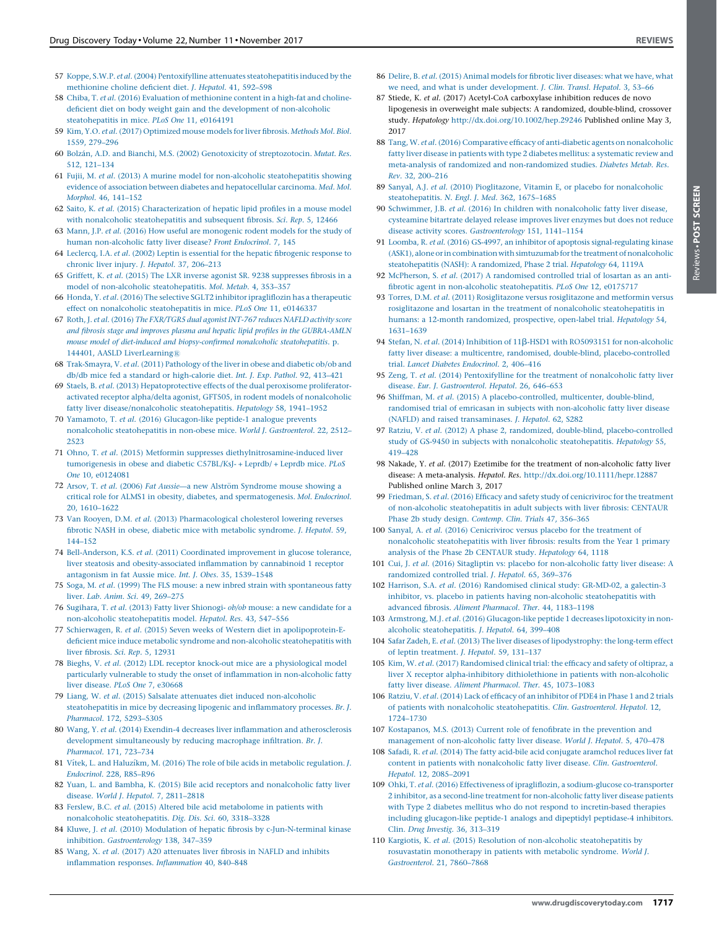- <span id="page-10-0"></span>58 Chiba, T. et al. (2016) Evaluation of [methionine](http://refhub.elsevier.com/S1359-6446(17)30027-2/sbref0290) content in a high-fat and cholinedeficient diet on body weight gain and the development of [non-alcoholic](http://refhub.elsevier.com/S1359-6446(17)30027-2/sbref0290) [steatohepatitis](http://refhub.elsevier.com/S1359-6446(17)30027-2/sbref0290) in mice. PLoS One 11, e0164191
- 59 Kim, Y.O. et al. (2017) [Optimized](http://refhub.elsevier.com/S1359-6446(17)30027-2/sbref0295) mouse models for liver fibrosis. Methods Mol. Biol. 1559, [279–296](http://refhub.elsevier.com/S1359-6446(17)30027-2/sbref0295)
- 60 Bolza´n, A.D. and Bianchi, M.S. (2002) Genotoxicity of [streptozotocin.](http://refhub.elsevier.com/S1359-6446(17)30027-2/sbref0300) Mutat. Res. 512, [121–134](http://refhub.elsevier.com/S1359-6446(17)30027-2/sbref0300)
- 61 Fujii, M. et al. (2013) A murine model for non-alcoholic [steatohepatitis](http://refhub.elsevier.com/S1359-6446(17)30027-2/sbref0305) showing evidence of association between diabetes and [hepatocellular](http://refhub.elsevier.com/S1359-6446(17)30027-2/sbref0305) carcinoma. Med. Mol. [Morphol.](http://refhub.elsevier.com/S1359-6446(17)30027-2/sbref0305) 46, 141–152
- 62 Saito, K. et al. (2015) [Characterization](http://refhub.elsevier.com/S1359-6446(17)30027-2/sbref0310) of hepatic lipid profiles in a mouse model with nonalcoholic [steatohepatitis](http://refhub.elsevier.com/S1359-6446(17)30027-2/sbref0310) and subsequent fibrosis. Sci. Rep. 5, 12466
- 63 Mann, J.P. et al. (2016) How useful are [monogenic](http://refhub.elsevier.com/S1359-6446(17)30027-2/sbref0315) rodent models for the study of human [non-alcoholic](http://refhub.elsevier.com/S1359-6446(17)30027-2/sbref0315) fatty liver disease? Front Endocrinol. 7, 145
- 64 Leclercq, I.A. et al. (2002) Leptin is essential for the hepatic [fibrogenic](http://refhub.elsevier.com/S1359-6446(17)30027-2/sbref0320) response to chronic liver injury. J. Hepatol. 37, [206–213](http://refhub.elsevier.com/S1359-6446(17)30027-2/sbref0320)
- 65 Griffett, K. et al. (2015) The LXR inverse agonist SR. 9238 [suppresses](http://refhub.elsevier.com/S1359-6446(17)30027-2/sbref0325) fibrosis in a model of non-alcoholic [steatohepatitis.](http://refhub.elsevier.com/S1359-6446(17)30027-2/sbref0325) Mol. Metab. 4, 353–357
- 66 Honda, Y. et al. (2016) The selective SGLT2 inhibitor [ipragliflozin](http://refhub.elsevier.com/S1359-6446(17)30027-2/sbref0330) has a therapeutic effect on nonalcoholic [steatohepatitis](http://refhub.elsevier.com/S1359-6446(17)30027-2/sbref0330) in mice. PLoS One 11, e0146337
- 67 Roth, J. et al. (2016) The [FXR/TGR5](http://refhub.elsevier.com/S1359-6446(17)30027-2/sbref0335) dual agonist INT-767 reduces NAFLD activity score and fibrosis stage and improves plasma and hepatic lipid profiles in the [GUBRA-AMLN](http://refhub.elsevier.com/S1359-6446(17)30027-2/sbref0335) mouse model of diet-induced and [biopsy-confirmed](http://refhub.elsevier.com/S1359-6446(17)30027-2/sbref0335) nonalcoholic steatohepatitis. p. 144401, AASLD LiverLearning®
- 68 [Trak-Smayra,](http://refhub.elsevier.com/S1359-6446(17)30027-2/sbref0340) V. et al. (2011) Pathology of the liver in obese and diabetic ob/ob and db/db mice fed a standard or [high-calorie](http://refhub.elsevier.com/S1359-6446(17)30027-2/sbref0340) diet. Int. J. Exp. Pathol. 92, 413–421
- 69 Staels, B. et al. (2013) [Hepatoprotective](http://refhub.elsevier.com/S1359-6446(17)30027-2/sbref0345) effects of the dual peroxisome proliferatoractivated receptor alpha/delta agonist, GFT505, in rodent models of [nonalcoholic](http://refhub.elsevier.com/S1359-6446(17)30027-2/sbref0345) fatty liver [disease/nonalcoholic](http://refhub.elsevier.com/S1359-6446(17)30027-2/sbref0345) steatohepatitis. Hepatology 58, 1941–1952
- 70 Yamamoto, T. et al. (2016) [Glucagon-like](http://refhub.elsevier.com/S1359-6446(17)30027-2/sbref0350) peptide-1 analogue prevents nonalcoholic [steatohepatitis](http://refhub.elsevier.com/S1359-6446(17)30027-2/sbref0350) in non-obese mice. World J. Gastroenterol. 22, 2512– [2523](http://refhub.elsevier.com/S1359-6446(17)30027-2/sbref0350)
- 71 Ohno, T. et al. (2015) Metformin suppresses [diethylnitrosamine-induced](http://refhub.elsevier.com/S1359-6446(17)30027-2/sbref0355) liver [tumorigenesis](http://refhub.elsevier.com/S1359-6446(17)30027-2/sbref0355) in obese and diabetic C57BL/KsJ- + Leprdb/ + Leprdb mice. PLoS One 10, [e0124081](http://refhub.elsevier.com/S1359-6446(17)30027-2/sbref0355)
- 72 Arsov, T. et al. (2006) Fat Aussie—a new Alström [Syndrome](http://refhub.elsevier.com/S1359-6446(17)30027-2/sbref0360) mouse showing a critical role for ALMS1 in obesity, diabetes, and [spermatogenesis.](http://refhub.elsevier.com/S1359-6446(17)30027-2/sbref0360) Mol. Endocrinol. 20, [1610–1622](http://refhub.elsevier.com/S1359-6446(17)30027-2/sbref0360)
- 73 Van Rooyen, D.M. et al. (2013) [Pharmacological](http://refhub.elsevier.com/S1359-6446(17)30027-2/sbref0365) cholesterol lowering reverses fibrotic NASH in obese, diabetic mice with metabolic [syndrome.](http://refhub.elsevier.com/S1359-6446(17)30027-2/sbref0365) J. Hepatol. 59, [144–152](http://refhub.elsevier.com/S1359-6446(17)30027-2/sbref0365)
- 74 [Bell-Anderson,](http://refhub.elsevier.com/S1359-6446(17)30027-2/sbref0370) K.S. et al. (2011) Coordinated improvement in glucose tolerance, liver steatosis and [obesity-associated](http://refhub.elsevier.com/S1359-6446(17)30027-2/sbref0370) inflammation by cannabinoid 1 receptor [antagonism](http://refhub.elsevier.com/S1359-6446(17)30027-2/sbref0370) in fat Aussie mice. Int. J. Obes. 35, 1539–1548
- 75 Soga, M. et al. (1999) The FLS mouse: a new inbred strain with [spontaneous](http://refhub.elsevier.com/S1359-6446(17)30027-2/sbref0375) fatty liver. Lab. Anim. Sci. 49, [269–275](http://refhub.elsevier.com/S1359-6446(17)30027-2/sbref0375)
- 76 Sugihara, T. et al. (2013) Fatty liver Shionogi- ob/ob mouse: a new [candidate](http://refhub.elsevier.com/S1359-6446(17)30027-2/sbref0380) for a non-alcoholic [steatohepatitis](http://refhub.elsevier.com/S1359-6446(17)30027-2/sbref0380) model. Hepatol. Res. 43, 547–556
- 77 Schierwagen, R. et al. (2015) Seven weeks of Western diet in [apolipoprotein-E](http://refhub.elsevier.com/S1359-6446(17)30027-2/sbref0385)deficient mice induce metabolic syndrome and non-alcoholic [steatohepatitis](http://refhub.elsevier.com/S1359-6446(17)30027-2/sbref0385) with liver [fibrosis.](http://refhub.elsevier.com/S1359-6446(17)30027-2/sbref0385) Sci. Rep. 5, 12931
- 78 Bieghs, V. et al. (2012) LDL receptor knock-out mice are a [physiological](http://refhub.elsevier.com/S1359-6446(17)30027-2/sbref0390) model particularly vulnerable to study the onset of inflammation in [non-alcoholic](http://refhub.elsevier.com/S1359-6446(17)30027-2/sbref0390) fatty liver [disease.](http://refhub.elsevier.com/S1359-6446(17)30027-2/sbref0390) PLoS One 7, e30668
- 79 Liang, W. et al. (2015) Salsalate attenuates diet induced [non-alcoholic](http://refhub.elsevier.com/S1359-6446(17)30027-2/sbref0395) [steatohepatitis](http://refhub.elsevier.com/S1359-6446(17)30027-2/sbref0395) in mice by decreasing lipogenic and inflammatory processes. Br. J. Pharmacol. 172, [5293–5305](http://refhub.elsevier.com/S1359-6446(17)30027-2/sbref0395)
- 80 Wang, Y. et al. (2014) Exendin-4 decreases liver inflammation and [atherosclerosis](http://refhub.elsevier.com/S1359-6446(17)30027-2/sbref0400) development [simultaneously](http://refhub.elsevier.com/S1359-6446(17)30027-2/sbref0400) by reducing macrophage infiltration. Br. J. [Pharmacol.](http://refhub.elsevier.com/S1359-6446(17)30027-2/sbref0400) 171, 723–734
- 81 Vítek, L. and Haluzíkm, M. (2016) The role of bile acids in metabolic [regulation.](http://refhub.elsevier.com/S1359-6446(17)30027-2/sbref0405) J. [Endocrinol.](http://refhub.elsevier.com/S1359-6446(17)30027-2/sbref0405) 228, R85–R96
- 82 Yuan, L. and Bambha, K. (2015) Bile acid receptors and [nonalcoholic](http://refhub.elsevier.com/S1359-6446(17)30027-2/sbref0410) fatty liver disease. World J. Hepatol. 7, [2811–2818](http://refhub.elsevier.com/S1359-6446(17)30027-2/sbref0410)
- 83 Ferslew, B.C. et al. (2015) Altered bile acid [metabolome](http://refhub.elsevier.com/S1359-6446(17)30027-2/sbref0415) in patients with nonalcoholic [steatohepatitis.](http://refhub.elsevier.com/S1359-6446(17)30027-2/sbref0415) Dig. Dis. Sci. 60, 3318–3328
- 84 Kluwe, J. et al. (2010) Modulation of hepatic fibrosis by [c-Jun-N-terminal](http://refhub.elsevier.com/S1359-6446(17)30027-2/sbref0420) kinase inhibition. [Gastroenterology](http://refhub.elsevier.com/S1359-6446(17)30027-2/sbref0420) 138, 347–359
- 85 Wang, X. et al. (2017) A20 [attenuates](http://refhub.elsevier.com/S1359-6446(17)30027-2/sbref0425) liver fibrosis in NAFLD and inhibits [inflammation](http://refhub.elsevier.com/S1359-6446(17)30027-2/sbref0425) responses. Inflammation 40, 840–848
- 86 Delire, B. et al. (2015) Animal models for fibrotic liver [diseases:](http://refhub.elsevier.com/S1359-6446(17)30027-2/sbref0430) what we have, what we need, and what is under [development.](http://refhub.elsevier.com/S1359-6446(17)30027-2/sbref0430) J. Clin. Transl. Hepatol. 3, 53–66
- 87 Stiede, K. et al. (2017) Acetyl-CoA carboxylase inhibition reduces de novo lipogenesis in overweight male subjects: A randomized, double-blind, crossover study. Hepatology <http://dx.doi.org/10.1002/hep.29246> Published online May 3, 2017
- 88 Tang, W. et al. (2016) Comparative efficacy of anti-diabetic agents on [nonalcoholic](http://refhub.elsevier.com/S1359-6446(17)30027-2/sbref0440) fatty liver disease in patients with type 2 diabetes mellitus: a [systematic](http://refhub.elsevier.com/S1359-6446(17)30027-2/sbref0440) review and meta-analysis of randomized and [non-randomized](http://refhub.elsevier.com/S1359-6446(17)30027-2/sbref0440) studies. Diabetes Metab. Res. Rev. 32, [200–216](http://refhub.elsevier.com/S1359-6446(17)30027-2/sbref0440)
- 89 Sanyal, A.J. et al. (2010) Pioglitazone, Vitamin E, or placebo for [nonalcoholic](http://refhub.elsevier.com/S1359-6446(17)30027-2/sbref0445) [steatohepatitis.](http://refhub.elsevier.com/S1359-6446(17)30027-2/sbref0445) N. Engl. J. Med. 362, 1675–1685
- 90 Schwimmer, J.B. et al. (2016) In children with [nonalcoholic](http://refhub.elsevier.com/S1359-6446(17)30027-2/sbref0450) fatty liver disease, [cysteamine](http://refhub.elsevier.com/S1359-6446(17)30027-2/sbref0450) bitartrate delayed release improves liver enzymes but does not reduce disease activity scores. [Gastroenterology](http://refhub.elsevier.com/S1359-6446(17)30027-2/sbref0450) 151, 1141–1154
- 91 Loomba, R. et al. (2016) GS-4997, an inhibitor of apoptosis [signal-regulating](http://refhub.elsevier.com/S1359-6446(17)30027-2/sbref0455) kinase (ASK1), alone or in combination with simtuzumab for the treatment of nonalcoholic [steatohepatitis](http://refhub.elsevier.com/S1359-6446(17)30027-2/sbref0455) (NASH): A randomized, Phase 2 trial. Hepatology 64, 1119A
- 92 McPherson, S. et al. (2017) A [randomised](http://refhub.elsevier.com/S1359-6446(17)30027-2/sbref0460) controlled trial of losartan as an antifibrotic agent in non-alcoholic [steatohepatitis.](http://refhub.elsevier.com/S1359-6446(17)30027-2/sbref0460) PLoS One 12, e0175717
- 93 Torres, D.M. et al. (2011) [Rosiglitazone](http://refhub.elsevier.com/S1359-6446(17)30027-2/sbref0465) versus rosiglitazone and metformin versus rosiglitazone and losartan in the treatment of nonalcoholic [steatohepatitis](http://refhub.elsevier.com/S1359-6446(17)30027-2/sbref0465) in humans: a 12-month [randomized,](http://refhub.elsevier.com/S1359-6446(17)30027-2/sbref0465) prospective, open-label trial. Hepatology 54, [1631–1639](http://refhub.elsevier.com/S1359-6446(17)30027-2/sbref0465)
- 94 Stefan, N. et al. (2014) Inhibition of  $11\beta$ -HSD1 with RO5093151 for [non-alcoholic](http://refhub.elsevier.com/S1359-6446(17)30027-2/sbref0470) fatty liver disease: a multicentre, randomised, double-blind, [placebo-controlled](http://refhub.elsevier.com/S1359-6446(17)30027-2/sbref0470) trial. Lancet Diabetes [Endocrinol.](http://refhub.elsevier.com/S1359-6446(17)30027-2/sbref0470) 2, 406–416
- 95 Zeng, T. et al. (2014) [Pentoxifylline](http://refhub.elsevier.com/S1359-6446(17)30027-2/sbref0475) for the treatment of nonalcoholic fatty liver disease. Eur. J. [Gastroenterol.](http://refhub.elsevier.com/S1359-6446(17)30027-2/sbref0475) Hepatol. 26, 646–653
- 96 Shiffman, M. et al. (2015) A [placebo-controlled,](http://refhub.elsevier.com/S1359-6446(17)30027-2/sbref0480) multicenter, double-blind, randomised trial of emricasan in subjects with [non-alcoholic](http://refhub.elsevier.com/S1359-6446(17)30027-2/sbref0480) fatty liver disease (NAFLD) and raised [transaminases.](http://refhub.elsevier.com/S1359-6446(17)30027-2/sbref0480) J. Hepatol. 62, S282
- 97 Ratziu, V. et al. (2012) A phase 2, randomized, double-blind, [placebo-controlled](http://refhub.elsevier.com/S1359-6446(17)30027-2/sbref0485) study of GS-9450 in subjects with nonalcoholic [steatohepatitis.](http://refhub.elsevier.com/S1359-6446(17)30027-2/sbref0485) Hepatology 55, [419–428](http://refhub.elsevier.com/S1359-6446(17)30027-2/sbref0485)
- 98 Nakade, Y. et al. (2017) Ezetimibe for the treatment of non-alcoholic fatty liver disease: A meta-analysis. Hepatol. Res. <http://dx.doi.org/10.1111/hepr.12887> Published online March 3, 2017
- 99 Friedman, S. et al. (2016) Efficacy and safety study of [cenicriviroc](http://refhub.elsevier.com/S1359-6446(17)30027-2/sbref0495) for the treatment of non-alcoholic [steatohepatitis](http://refhub.elsevier.com/S1359-6446(17)30027-2/sbref0495) in adult subjects with liver fibrosis: CENTAUR Phase 2b study design. [Contemp.](http://refhub.elsevier.com/S1359-6446(17)30027-2/sbref0495) Clin. Trials 47, 356–365
- 100 Sanyal, A. et al. (2016) [Cenicriviroc](http://refhub.elsevier.com/S1359-6446(17)30027-2/sbref0500) versus placebo for the treatment of nonalcoholic [steatohepatitis](http://refhub.elsevier.com/S1359-6446(17)30027-2/sbref0500) with liver fibrosis: results from the Year 1 primary analysis of the Phase 2b [CENTAUR](http://refhub.elsevier.com/S1359-6446(17)30027-2/sbref0500) study. Hepatology 64, 1118
- 101 Cui, J. et al. (2016) Sitagliptin vs: placebo for [non-alcoholic](http://refhub.elsevier.com/S1359-6446(17)30027-2/sbref0505) fatty liver disease: A [randomized](http://refhub.elsevier.com/S1359-6446(17)30027-2/sbref0505) controlled trial. J. Hepatol. 65, 369–376
- 102 Harrison, S.A. et al. (2016) [Randomised](http://refhub.elsevier.com/S1359-6446(17)30027-2/sbref0510) clinical study: GR-MD-02, a galectin-3 inhibitor, vs. placebo in patients having non-alcoholic [steatohepatitis](http://refhub.elsevier.com/S1359-6446(17)30027-2/sbref0510) with advanced fibrosis. Aliment Pharmacol. Ther. 44, [1183–1198](http://refhub.elsevier.com/S1359-6446(17)30027-2/sbref0510)
- 103 Armstrong, M.J. et al. (2016) [Glucagon-like](http://refhub.elsevier.com/S1359-6446(17)30027-2/sbref0515) peptide 1 decreases lipotoxicity in nonalcoholic [steatohepatitis.](http://refhub.elsevier.com/S1359-6446(17)30027-2/sbref0515) J. Hepatol. 64, 399–408
- 104 Safar Zadeh, E. et al. (2013) The liver diseases of [lipodystrophy:](http://refhub.elsevier.com/S1359-6446(17)30027-2/sbref0520) the long-term effect of leptin [treatment.](http://refhub.elsevier.com/S1359-6446(17)30027-2/sbref0520) J. Hepatol. 59, 131–137
- 105 Kim, W. et al. (2017) [Randomised](http://refhub.elsevier.com/S1359-6446(17)30027-2/sbref0525) clinical trial: the efficacy and safety of oltipraz, a liver X receptor [alpha-inhibitory](http://refhub.elsevier.com/S1359-6446(17)30027-2/sbref0525) dithiolethione in patients with non-alcoholic fatty liver disease. Aliment Pharmacol. Ther. 45, [1073–1083](http://refhub.elsevier.com/S1359-6446(17)30027-2/sbref0525)
- 106 Ratziu, V. et al. (2014) Lack of efficacy of an [inhibitor](http://refhub.elsevier.com/S1359-6446(17)30027-2/sbref0530) of PDE4 in Phase 1 and 2 trials of patients with nonalcoholic [steatohepatitis.](http://refhub.elsevier.com/S1359-6446(17)30027-2/sbref0530) Clin. Gastroenterol. Hepatol. 12, [1724–1730](http://refhub.elsevier.com/S1359-6446(17)30027-2/sbref0530)
- 107 [Kostapanos,](http://refhub.elsevier.com/S1359-6446(17)30027-2/sbref0535) M.S. (2013) Current role of fenofibrate in the prevention and management of [non-alcoholic](http://refhub.elsevier.com/S1359-6446(17)30027-2/sbref0535) fatty liver disease. World J. Hepatol. 5, 470–478
- 108 Safadi, R. et al. (2014) The fatty acid-bile acid [conjugate](http://refhub.elsevier.com/S1359-6446(17)30027-2/sbref0540) aramchol reduces liver fat content in patients with [nonalcoholic](http://refhub.elsevier.com/S1359-6446(17)30027-2/sbref0540) fatty liver disease. Clin. Gastroenterol. Hepatol. 12, [2085–2091](http://refhub.elsevier.com/S1359-6446(17)30027-2/sbref0540)
- 109 Ohki, T. et al. (2016) Effectiveness of ipragliflozin, a [sodium-glucose](http://refhub.elsevier.com/S1359-6446(17)30027-2/sbref0545) co-transporter 2 inhibitor, as a second-line treatment for [non-alcoholic](http://refhub.elsevier.com/S1359-6446(17)30027-2/sbref0545) fatty liver disease patients with Type 2 diabetes mellitus who do not respond to [incretin-based](http://refhub.elsevier.com/S1359-6446(17)30027-2/sbref0545) therapies including [glucagon-like](http://refhub.elsevier.com/S1359-6446(17)30027-2/sbref0545) peptide-1 analogs and dipeptidyl peptidase-4 inhibitors. Clin. Drug Investig. 36, [313–319](http://refhub.elsevier.com/S1359-6446(17)30027-2/sbref0545)
- 110 Kargiotis, K. et al. (2015) Resolution of non-alcoholic [steatohepatitis](http://refhub.elsevier.com/S1359-6446(17)30027-2/sbref0550) by rosuvastatin [monotherapy](http://refhub.elsevier.com/S1359-6446(17)30027-2/sbref0550) in patients with metabolic syndrome. World J. [Gastroenterol.](http://refhub.elsevier.com/S1359-6446(17)30027-2/sbref0550) 21, 7860–7868